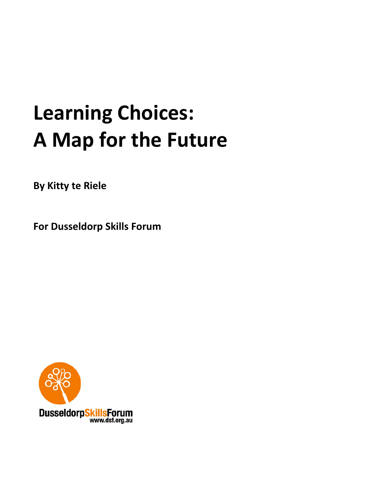# **Learning Choices: A Map for the Future**

**By Kitty te Riele**

**For Dusseldorp Skills Forum**

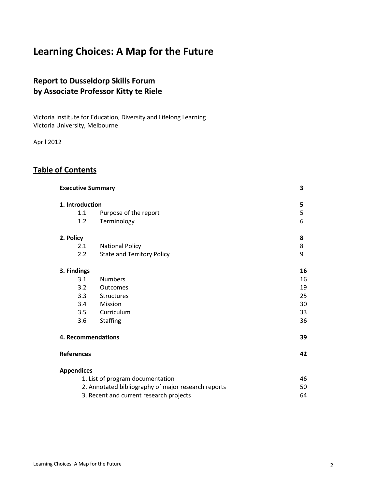# **Learning Choices: A Map for the Future**

# **Report to Dusseldorp Skills Forum by Associate Professor Kitty te Riele**

Victoria Institute for Education, Diversity and Lifelong Learning Victoria University, Melbourne

April 2012

# **Table of Contents**

| <b>Executive Summary</b> |                                                     | 3  |
|--------------------------|-----------------------------------------------------|----|
| 1. Introduction          |                                                     | 5  |
| 1.1                      | Purpose of the report                               | 5  |
| 1.2                      | Terminology                                         | 6  |
|                          |                                                     |    |
| 2. Policy                |                                                     | 8  |
| 2.1                      | <b>National Policy</b>                              | 8  |
| 2.2                      | <b>State and Territory Policy</b>                   | 9  |
|                          |                                                     | 16 |
| 3. Findings              |                                                     |    |
| 3.1<br>3.2               | <b>Numbers</b>                                      | 16 |
|                          | <b>Outcomes</b>                                     | 19 |
| 3.3                      | <b>Structures</b>                                   | 25 |
| 3.4                      | Mission                                             | 30 |
| 3.5                      | Curriculum                                          | 33 |
| 3.6                      | <b>Staffing</b>                                     | 36 |
|                          | 4. Recommendations                                  | 39 |
| <b>References</b>        |                                                     | 42 |
| <b>Appendices</b>        |                                                     |    |
|                          | 1. List of program documentation                    | 46 |
|                          | 2. Annotated bibliography of major research reports | 50 |
|                          | 3. Recent and current research projects             | 64 |
|                          |                                                     |    |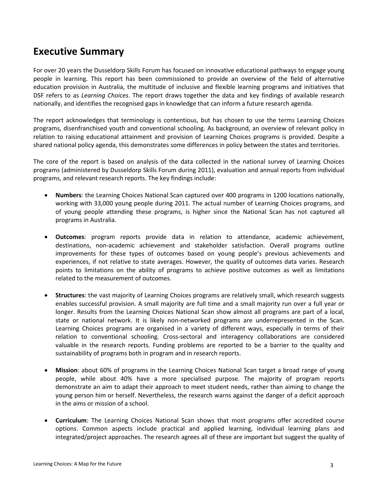# **Executive Summary**

For over 20 years the Dusseldorp Skills Forum has focused on innovative educational pathways to engage young people in learning. This report has been commissioned to provide an overview of the field of alternative education provision in Australia, the multitude of inclusive and flexible learning programs and initiatives that DSF refers to as *Learning Choices*. The report draws together the data and key findings of available research nationally, and identifies the recognised gaps in knowledge that can inform a future research agenda.

The report acknowledges that terminology is contentious, but has chosen to use the terms Learning Choices programs, disenfranchised youth and conventional schooling. As background, an overview of relevant policy in relation to raising educational attainment and provision of Learning Choices programs is provided. Despite a shared national policy agenda, this demonstrates some differences in policy between the states and territories.

The core of the report is based on analysis of the data collected in the national survey of Learning Choices programs (administered by Dusseldorp Skills Forum during 2011), evaluation and annual reports from individual programs, and relevant research reports. The key findings include:

- **Numbers**: the Learning Choices National Scan captured over 400 programs in 1200 locations nationally, working with 33,000 young people during 2011. The actual number of Learning Choices programs, and of young people attending these programs, is higher since the National Scan has not captured all programs in Australia.
- **Outcomes**: program reports provide data in relation to attendance, academic achievement, destinations, non-academic achievement and stakeholder satisfaction. Overall programs outline improvements for these types of outcomes based on young people's previous achievements and experiences, if not relative to state averages. However, the quality of outcomes data varies. Research points to limitations on the ability of programs to achieve positive outcomes as well as limitations related to the measurement of outcomes.
- **Structures**: the vast majority of Learning Choices programs are relatively small, which research suggests enables successful provision. A small majority are full time and a small majority run over a full year or longer. Results from the Learning Choices National Scan show almost all programs are part of a local, state or national network. It is likely non-networked programs are underrepresented in the Scan. Learning Choices programs are organised in a variety of different ways, especially in terms of their relation to conventional schooling. Cross-sectoral and interagency collaborations are considered valuable in the research reports. Funding problems are reported to be a barrier to the quality and sustainability of programs both in program and in research reports.
- **Mission**: about 60% of programs in the Learning Choices National Scan target a broad range of young people, while about 40% have a more specialised purpose. The majority of program reports demonstrate an aim to adapt their approach to meet student needs, rather than aiming to change the young person him or herself. Nevertheless, the research warns against the danger of a deficit approach in the aims or mission of a school.
- **Curriculum**: The Learning Choices National Scan shows that most programs offer accredited course options. Common aspects include practical and applied learning, individual learning plans and integrated/project approaches. The research agrees all of these are important but suggest the quality of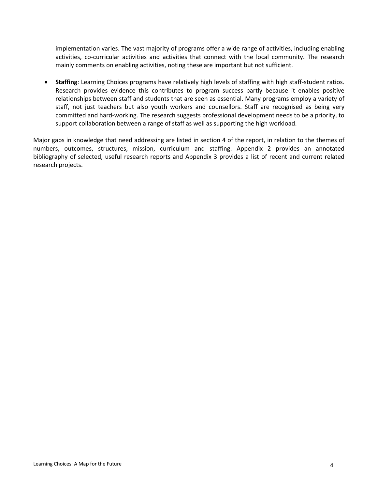implementation varies. The vast majority of programs offer a wide range of activities, including enabling activities, co-curricular activities and activities that connect with the local community. The research mainly comments on enabling activities, noting these are important but not sufficient.

• **Staffing**: Learning Choices programs have relatively high levels of staffing with high staff-student ratios. Research provides evidence this contributes to program success partly because it enables positive relationships between staff and students that are seen as essential. Many programs employ a variety of staff, not just teachers but also youth workers and counsellors. Staff are recognised as being very committed and hard-working. The research suggests professional development needs to be a priority, to support collaboration between a range of staff as well as supporting the high workload.

Major gaps in knowledge that need addressing are listed in section 4 of the report, in relation to the themes of numbers, outcomes, structures, mission, curriculum and staffing. Appendix 2 provides an annotated bibliography of selected, useful research reports and Appendix 3 provides a list of recent and current related research projects.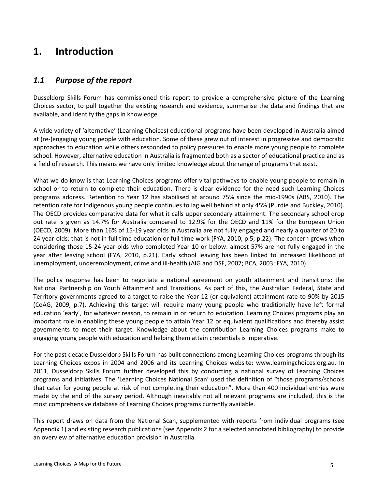# **1. Introduction**

# *1.1 Purpose of the report*

Dusseldorp Skills Forum has commissioned this report to provide a comprehensive picture of the Learning Choices sector, to pull together the existing research and evidence, summarise the data and findings that are available, and identify the gaps in knowledge.

A wide variety of 'alternative' (Learning Choices) educational programs have been developed in Australia aimed at (re-)engaging young people with education. Some of these grew out of interest in progressive and democratic approaches to education while others responded to policy pressures to enable more young people to complete school. However, alternative education in Australia is fragmented both as a sector of educational practice and as a field of research. This means we have only limited knowledge about the range of programs that exist.

What we do know is that Learning Choices programs offer vital pathways to enable young people to remain in school or to return to complete their education. There is clear evidence for the need such Learning Choices programs address. Retention to Year 12 has stabilised at around 75% since the mid-1990s (ABS, 2010). The retention rate for Indigenous young people continues to lag well behind at only 45% (Purdie and Buckley, 2010). The OECD provides comparative data for what it calls upper secondary attainment. The secondary school drop out rate is given as 14.7% for Australia compared to 12.9% for the OECD and 11% for the European Union (OECD, 2009). More than 16% of 15-19 year olds in Australia are not fully engaged and nearly a quarter of 20 to 24 year-olds: that is not in full time education or full time work (FYA, 2010, p.5; p.22). The concern grows when considering those 15-24 year olds who completed Year 10 or below: almost 57% are not fully engaged in the year after leaving school (FYA, 2010, p.21). Early school leaving has been linked to increased likelihood of unemployment, underemployment, crime and ill-health (AIG and DSF, 2007; BCA, 2003; FYA, 2010).

The policy response has been to negotiate a national agreement on youth attainment and transitions: the National Partnership on Youth Attainment and Transitions. As part of this, the Australian Federal, State and Territory governments agreed to a target to raise the Year 12 (or equivalent) attainment rate to 90% by 2015 (CoAG, 2009, p.7). Achieving this target will require many young people who traditionally have left formal education 'early', for whatever reason, to remain in or return to education. Learning Choices programs play an important role in enabling these young people to attain Year 12 or equivalent qualifications and thereby assist governments to meet their target. Knowledge about the contribution Learning Choices programs make to engaging young people with education and helping them attain credentials is imperative.

For the past decade Dusseldorp Skills Forum has built connections among Learning Choices programs through its Learning Choices expos in 2004 and 2006 and its Learning Choices website: www.learningchoices.org.au. In 2011, Dusseldorp Skills Forum further developed this by conducting a national survey of Learning Choices programs and initiatives. The 'Learning Choices National Scan' used the definition of "those programs/schools that cater for young people at risk of not completing their education". More than 400 individual entries were made by the end of the survey period. Although inevitably not all relevant programs are included, this is the most comprehensive database of Learning Choices programs currently available.

This report draws on data from the National Scan, supplemented with reports from individual programs (see Appendix 1) and existing research publications (see Appendix 2 for a selected annotated bibliography) to provide an overview of alternative education provision in Australia.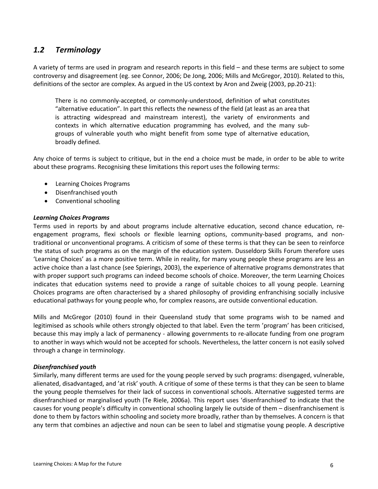# *1.2 Terminology*

A variety of terms are used in program and research reports in this field – and these terms are subject to some controversy and disagreement (eg. see Connor, 2006; De Jong, 2006; Mills and McGregor, 2010). Related to this, definitions of the sector are complex. As argued in the US context by Aron and Zweig (2003, pp.20-21):

There is no commonly-accepted, or commonly-understood, definition of what constitutes "alternative education". In part this reflects the newness of the field (at least as an area that is attracting widespread and mainstream interest), the variety of environments and contexts in which alternative education programming has evolved, and the many subgroups of vulnerable youth who might benefit from some type of alternative education, broadly defined.

Any choice of terms is subject to critique, but in the end a choice must be made, in order to be able to write about these programs. Recognising these limitations this report uses the following terms:

- Learning Choices Programs
- Disenfranchised youth
- Conventional schooling

#### *Learning Choices Programs*

Terms used in reports by and about programs include alternative education, second chance education, reengagement programs, flexi schools or flexible learning options, community-based programs, and nontraditional or unconventional programs. A criticism of some of these terms is that they can be seen to reinforce the status of such programs as on the margin of the education system. Dusseldorp Skills Forum therefore uses 'Learning Choices' as a more positive term. While in reality, for many young people these programs are less an active choice than a last chance (see Spierings, 2003), the experience of alternative programs demonstrates that with proper support such programs can indeed become schools of choice. Moreover, the term Learning Choices indicates that education systems need to provide a range of suitable choices to all young people. Learning Choices programs are often characterised by a shared philosophy of providing enfranchising socially inclusive educational pathways for young people who, for complex reasons, are outside conventional education.

Mills and McGregor (2010) found in their Queensland study that some programs wish to be named and legitimised as schools while others strongly objected to that label. Even the term 'program' has been criticised, because this may imply a lack of permanency - allowing governments to re-allocate funding from one program to another in ways which would not be accepted for schools. Nevertheless, the latter concern is not easily solved through a change in terminology.

#### *Disenfranchised youth*

Similarly, many different terms are used for the young people served by such programs: disengaged, vulnerable, alienated, disadvantaged, and 'at risk' youth. A critique of some of these terms is that they can be seen to blame the young people themselves for their lack of success in conventional schools. Alternative suggested terms are disenfranchised or marginalised youth (Te Riele, 2006a). This report uses 'disenfranchised' to indicate that the causes for young people's difficulty in conventional schooling largely lie outside of them – disenfranchisement is done to them by factors within schooling and society more broadly, rather than by themselves. A concern is that any term that combines an adjective and noun can be seen to label and stigmatise young people. A descriptive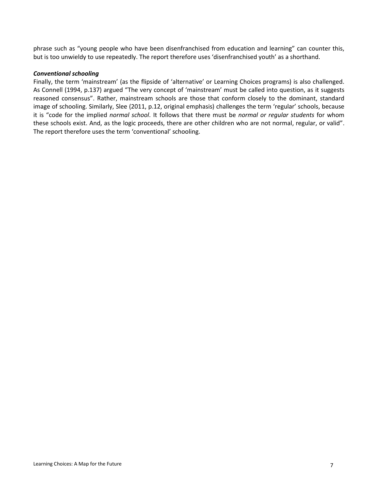phrase such as "young people who have been disenfranchised from education and learning" can counter this, but is too unwieldy to use repeatedly. The report therefore uses 'disenfranchised youth' as a shorthand.

#### *Conventional schooling*

Finally, the term 'mainstream' (as the flipside of 'alternative' or Learning Choices programs) is also challenged. As Connell (1994, p.137) argued "The very concept of 'mainstream' must be called into question, as it suggests reasoned consensus". Rather, mainstream schools are those that conform closely to the dominant, standard image of schooling. Similarly, Slee (2011, p.12, original emphasis) challenges the term 'regular' schools, because it is "code for the implied *normal school*. It follows that there must be *normal or regular students* for whom these schools exist. And, as the logic proceeds, there are other children who are not normal, regular, or valid". The report therefore uses the term 'conventional' schooling.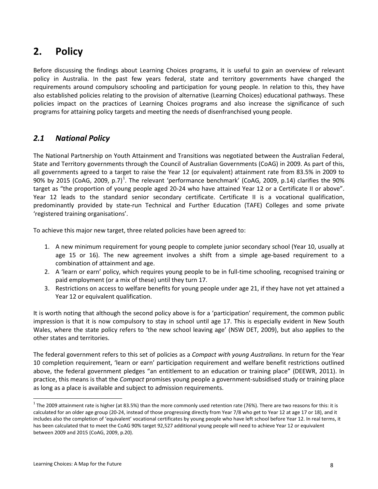# **2. Policy**

Before discussing the findings about Learning Choices programs, it is useful to gain an overview of relevant policy in Australia. In the past few years federal, state and territory governments have changed the requirements around compulsory schooling and participation for young people. In relation to this, they have also established policies relating to the provision of alternative (Learning Choices) educational pathways. These policies impact on the practices of Learning Choices programs and also increase the significance of such programs for attaining policy targets and meeting the needs of disenfranchised young people.

# *2.1 National Policy*

The National Partnership on Youth Attainment and Transitions was negotiated between the Australian Federal, State and Territory governments through the Council of Australian Governments (CoAG) in 2009. As part of this, all governments agreed to a target to raise the Year 12 (or equivalent) attainment rate from 83.5% in 2009 to 90% by 20[1](#page-7-0)5 (CoAG, 2009, p.7)<sup>1</sup>. The relevant 'performance benchmark' (CoAG, 2009, p.14) clarifies the 90% target as "the proportion of young people aged 20-24 who have attained Year 12 or a Certificate II or above". Year 12 leads to the standard senior secondary certificate. Certificate II is a vocational qualification, predominantly provided by state-run Technical and Further Education (TAFE) Colleges and some private 'registered training organisations'.

To achieve this major new target, three related policies have been agreed to:

- 1. A new minimum requirement for young people to complete junior secondary school (Year 10, usually at age 15 or 16). The new agreement involves a shift from a simple age-based requirement to a combination of attainment and age.
- 2. A 'learn or earn' policy, which requires young people to be in full-time schooling, recognised training or paid employment (or a mix of these) until they turn 17.
- 3. Restrictions on access to welfare benefits for young people under age 21, if they have not yet attained a Year 12 or equivalent qualification.

It is worth noting that although the second policy above is for a 'participation' requirement, the common public impression is that it is now compulsory to stay in school until age 17. This is especially evident in New South Wales, where the state policy refers to 'the new school leaving age' (NSW DET, 2009), but also applies to the other states and territories.

The federal government refers to this set of policies as a *Compact with young Australians*. In return for the Year 10 completion requirement, 'learn or earn' participation requirement and welfare benefit restrictions outlined above, the federal government pledges "an entitlement to an education or training place" (DEEWR, 2011). In practice, this means is that the *Compact* promises young people a government-subsidised study or training place as long as a place is available and subject to admission requirements.

<span id="page-7-0"></span> $1$  The 2009 attainment rate is higher (at 83.5%) than the more commonly used retention rate (76%). There are two reasons for this: it is calculated for an older age group (20-24, instead of those progressing directly from Year 7/8 who get to Year 12 at age 17 or 18), and it includes also the completion of 'equivalent' vocational certificates by young people who have left school before Year 12. In real terms, it has been calculated that to meet the CoAG 90% target 92,527 additional young people will need to achieve Year 12 or equivalent between 2009 and 2015 (CoAG, 2009, p.20).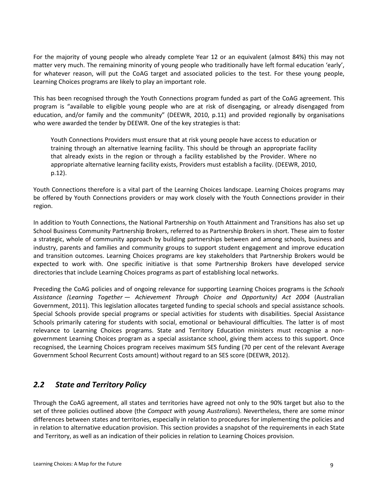For the majority of young people who already complete Year 12 or an equivalent (almost 84%) this may not matter very much. The remaining minority of young people who traditionally have left formal education 'early', for whatever reason, will put the CoAG target and associated policies to the test. For these young people, Learning Choices programs are likely to play an important role.

This has been recognised through the Youth Connections program funded as part of the CoAG agreement. This program is "available to eligible young people who are at risk of disengaging, or already disengaged from education, and/or family and the community" (DEEWR, 2010, p.11) and provided regionally by organisations who were awarded the tender by DEEWR. One of the key strategies is that:

Youth Connections Providers must ensure that at risk young people have access to education or training through an alternative learning facility. This should be through an appropriate facility that already exists in the region or through a facility established by the Provider. Where no appropriate alternative learning facility exists, Providers must establish a facility. (DEEWR, 2010, p.12).

Youth Connections therefore is a vital part of the Learning Choices landscape. Learning Choices programs may be offered by Youth Connections providers or may work closely with the Youth Connections provider in their region.

In addition to Youth Connections, the National Partnership on Youth Attainment and Transitions has also set up School Business Community Partnership Brokers, referred to as Partnership Brokers in short. These aim to foster a strategic, whole of community approach by building partnerships between and among schools, business and industry, parents and families and community groups to support student engagement and improve education and transition outcomes. Learning Choices programs are key stakeholders that Partnership Brokers would be expected to work with. One specific initiative is that some Partnership Brokers have developed service directories that include Learning Choices programs as part of establishing local networks.

Preceding the CoAG policies and of ongoing relevance for supporting Learning Choices programs is the *Schools Assistance (Learning Together — Achievement Through Choice and Opportunity) Act 2004* (Australian Government, 2011). This legislation allocates targeted funding to special schools and special assistance schools. Special Schools provide special programs or special activities for students with disabilities. Special Assistance Schools primarily catering for students with social, emotional or behavioural difficulties. The latter is of most relevance to Learning Choices programs. State and Territory Education ministers must recognise a nongovernment Learning Choices program as a special assistance school, giving them access to this support. Once recognised, the Learning Choices program receives maximum SES funding (70 per cent of the relevant Average Government School Recurrent Costs amount) without regard to an SES score (DEEWR, 2012).

# *2.2 State and Territory Policy*

Through the CoAG agreement, all states and territories have agreed not only to the 90% target but also to the set of three policies outlined above (the *Compact with young Australians*). Nevertheless, there are some minor differences between states and territories, especially in relation to procedures for implementing the policies and in relation to alternative education provision. This section provides a snapshot of the requirements in each State and Territory, as well as an indication of their policies in relation to Learning Choices provision.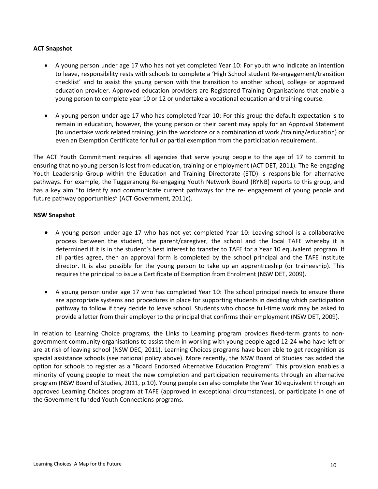#### **ACT Snapshot**

- A young person under age 17 who has not yet completed Year 10: For youth who indicate an intention to leave, responsibility rests with schools to complete a 'High School student Re-engagement/transition checklist' and to assist the young person with the transition to another school, college or approved education provider. Approved education providers are Registered Training Organisations that enable a young person to complete year 10 or 12 or undertake a vocational education and training course.
- A young person under age 17 who has completed Year 10: For this group the default expectation is to remain in education, however, the young person or their parent may apply for an Approval Statement (to undertake work related training, join the workforce or a combination of work /training/education) or even an Exemption Certificate for full or partial exemption from the participation requirement.

The ACT Youth Commitment requires all agencies that serve young people to the age of 17 to commit to ensuring that no young person is lost from education, training or employment (ACT DET, 2011). The Re-engaging Youth Leadership Group within the Education and Training Directorate (ETD) is responsible for alternative pathways. For example, the Tuggeranong Re-engaging Youth Network Board (RYNB) reports to this group, and has a key aim "to identify and communicate current pathways for the re- engagement of young people and future pathway opportunities" (ACT Government, 2011c).

#### **NSW Snapshot**

- A young person under age 17 who has not yet completed Year 10: Leaving school is a collaborative process between the student, the parent/caregiver, the school and the local TAFE whereby it is determined if it is in the student's best interest to transfer to TAFE for a Year 10 equivalent program. If all parties agree, then an approval form is completed by the school principal and the TAFE Institute director. It is also possible for the young person to take up an apprenticeship (or traineeship). This requires the principal to issue a Certificate of Exemption from Enrolment (NSW DET, 2009).
- A young person under age 17 who has completed Year 10: The school principal needs to ensure there are appropriate systems and procedures in place for supporting students in deciding which participation pathway to follow if they decide to leave school. Students who choose full-time work may be asked to provide a letter from their employer to the principal that confirms their employment (NSW DET, 2009).

In relation to Learning Choice programs, the Links to Learning program provides fixed-term grants to nongovernment community organisations to assist them in working with young people aged 12-24 who have left or are at risk of leaving school (NSW DEC, 2011). Learning Choices programs have been able to get recognition as special assistance schools (see national policy above). More recently, the NSW Board of Studies has added the option for schools to register as a "Board Endorsed Alternative Education Program". This provision enables a minority of young people to meet the new completion and participation requirements through an alternative program (NSW Board of Studies, 2011, p.10). Young people can also complete the Year 10 equivalent through an approved Learning Choices program at TAFE (approved in exceptional circumstances), or participate in one of the Government funded Youth Connections programs.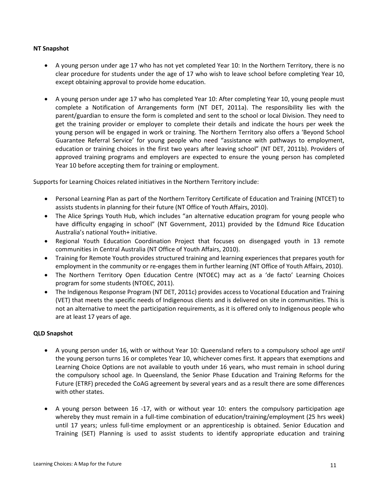#### **NT Snapshot**

- A young person under age 17 who has not yet completed Year 10: In the Northern Territory, there is no clear procedure for students under the age of 17 who wish to leave school before completing Year 10, except obtaining approval to provide home education.
- A young person under age 17 who has completed Year 10: After completing Year 10, young people must complete a Notification of Arrangements form (NT DET, 2011a). The responsibility lies with the parent/guardian to ensure the form is completed and sent to the school or local Division. They need to get the training provider or employer to complete their details and indicate the hours per week the young person will be engaged in work or training. The Northern Territory also offers a 'Beyond School Guarantee Referral Service' for young people who need "assistance with pathways to employment, education or training choices in the first two years after leaving school" (NT DET, 2011b). Providers of approved training programs and employers are expected to ensure the young person has completed Year 10 before accepting them for training or employment.

Supports for Learning Choices related initiatives in the Northern Territory include:

- Personal Learning Plan as part of the Northern Territory Certificate of Education and Training (NTCET) to assists students in planning for their future (NT Office of Youth Affairs, 2010).
- The Alice Springs Youth Hub, which includes "an alternative education program for young people who have difficulty engaging in school" (NT Government, 2011) provided by the Edmund Rice Education Australia's national Youth+ initiative.
- Regional Youth Education Coordination Project that focuses on disengaged youth in 13 remote communities in Central Australia (NT Office of Youth Affairs, 2010).
- Training for Remote Youth provides structured training and learning experiences that prepares youth for employment in the community or re-engages them in further learning (NT Office of Youth Affairs, 2010).
- The Northern Territory Open Education Centre (NTOEC) may act as a 'de facto' Learning Choices program for some students (NTOEC, 2011).
- The Indigenous Response Program (NT DET, 2011c) provides access to Vocational Education and Training (VET) that meets the specific needs of Indigenous clients and is delivered on site in communities. This is not an alternative to meet the participation requirements, as it is offered only to Indigenous people who are at least 17 years of age.

#### **QLD Snapshot**

- A young person under 16, with or without Year 10: Queensland refers to a compulsory school age *until*  the young person turns 16 or completes Year 10, whichever comes first. It appears that exemptions and Learning Choice Options are not available to youth under 16 years, who must remain in school during the compulsory school age. In Queensland, the Senior Phase Education and Training Reforms for the Future (ETRF) preceded the CoAG agreement by several years and as a result there are some differences with other states.
- A young person between 16 -17, with or without year 10: enters the compulsory participation age whereby they must remain in a full-time combination of education/training/employment (25 hrs week) until 17 years; unless full-time employment or an apprenticeship is obtained. Senior Education and Training (SET) Planning is used to assist students to identify appropriate education and training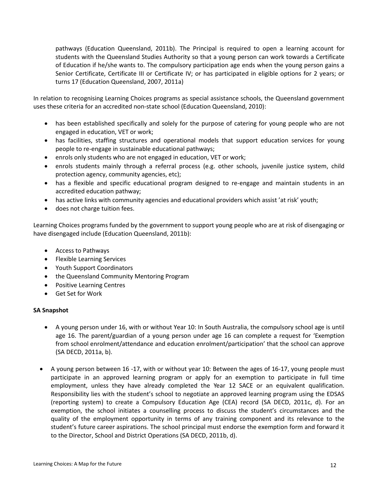pathways (Education Queensland, 2011b). The Principal is required to open a learning account for students with the Queensland Studies Authority so that a young person can work towards a Certificate of Education if he/she wants to. The compulsory participation age ends when the young person gains a Senior Certificate, Certificate III or Certificate IV; or has participated in eligible options for 2 years; or turns 17 (Education Queensland, 2007, 2011a)

In relation to recognising Learning Choices programs as special assistance schools, the Queensland government uses these criteria for an accredited non-state school (Education Queensland, 2010):

- has been established specifically and solely for the purpose of catering for young people who are not engaged in education, VET or work;
- has facilities, staffing structures and operational models that support education services for young people to re-engage in sustainable educational pathways;
- enrols only students who are not engaged in education, VET or work;
- enrols students mainly through a referral process (e.g. other schools, juvenile justice system, child protection agency, community agencies, etc);
- has a flexible and specific educational program designed to re-engage and maintain students in an accredited education pathway;
- has active links with community agencies and educational providers which assist 'at risk' youth;
- does not charge tuition fees.

Learning Choices programs funded by the government to support young people who are at risk of disengaging or have disengaged include (Education Queensland, 2011b):

- Access to Pathways
- Flexible Learning Services
- Youth Support Coordinators
- the Queensland Community Mentoring Program
- Positive Learning Centres
- Get Set for Work

#### **SA Snapshot**

- A young person under 16, with or without Year 10: In South Australia, the compulsory school age is until age 16. The parent/guardian of a young person under age 16 can complete a request for 'Exemption from school enrolment/attendance and education enrolment/participation' that the school can approve (SA DECD, 2011a, b).
- A young person between 16 -17, with or without year 10: Between the ages of 16-17, young people must participate in an approved learning program or apply for an exemption to participate in full time employment, unless they have already completed the Year 12 SACE or an equivalent qualification. Responsibility lies with the student's school to negotiate an approved learning program using the EDSAS (reporting system) to create a Compulsory Education Age (CEA) record (SA DECD, 2011c, d). For an exemption, the school initiates a counselling process to discuss the student's circumstances and the quality of the employment opportunity in terms of any training component and its relevance to the student's future career aspirations. The school principal must endorse the exemption form and forward it to the Director, School and District Operations (SA DECD, 2011b, d).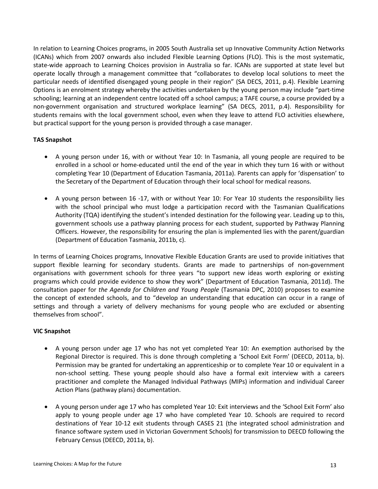In relation to Learning Choices programs, in 2005 South Australia set up Innovative Community Action Networks (ICANs) which from 2007 onwards also included Flexible Learning Options (FLO). This is the most systematic, state-wide approach to Learning Choices provision in Australia so far. ICANs are supported at state level but operate locally through a management committee that "collaborates to develop local solutions to meet the particular needs of identified disengaged young people in their region" (SA DECS, 2011, p.4). Flexible Learning Options is an enrolment strategy whereby the activities undertaken by the young person may include "part-time schooling; learning at an independent centre located off a school campus; a TAFE course, a course provided by a non-government organisation and structured workplace learning" (SA DECS, 2011, p.4). Responsibility for students remains with the local government school, even when they leave to attend FLO activities elsewhere, but practical support for the young person is provided through a case manager.

#### **TAS Snapshot**

- A young person under 16, with or without Year 10: In Tasmania, all young people are required to be enrolled in a school or home-educated until the end of the year in which they turn 16 with or without completing Year 10 (Department of Education Tasmania, 2011a). Parents can apply for 'dispensation' to the Secretary of the Department of Education through their local school for medical reasons.
- A young person between 16 -17, with or without Year 10: For Year 10 students the responsibility lies with the school principal who must lodge a participation record with the Tasmanian Qualifications Authority (TQA) identifying the student's intended destination for the following year. Leading up to this, government schools use a pathway planning process for each student, supported by Pathway Planning Officers. However, the responsibility for ensuring the plan is implemented lies with the parent/guardian (Department of Education Tasmania, 2011b, c).

In terms of Learning Choices programs, Innovative Flexible Education Grants are used to provide initiatives that support flexible learning for secondary students. Grants are made to partnerships of non-government organisations with government schools for three years "to support new ideas worth exploring or existing programs which could provide evidence to show they work" (Department of Education Tasmania, 2011d). The consultation paper for *the Agenda for Children and Young People* (Tasmania DPC, 2010) proposes to examine the concept of extended schools, and to "develop an understanding that education can occur in a range of settings and through a variety of delivery mechanisms for young people who are excluded or absenting themselves from school".

#### **VIC Snapshot**

- A young person under age 17 who has not yet completed Year 10: An exemption authorised by the Regional Director is required. This is done through completing a 'School Exit Form' (DEECD, 2011a, b). Permission may be granted for undertaking an apprenticeship or to complete Year 10 or equivalent in a non-school setting. These young people should also have a formal exit interview with a careers practitioner and complete the Managed Individual Pathways (MIPs) information and individual Career Action Plans (pathway plans) documentation.
- A young person under age 17 who has completed Year 10: Exit interviews and the 'School Exit Form' also apply to young people under age 17 who have completed Year 10. Schools are required to record destinations of Year 10-12 exit students through CASES 21 (the integrated school administration and finance software system used in Victorian Government Schools) for transmission to DEECD following the February Census (DEECD, 2011a, b).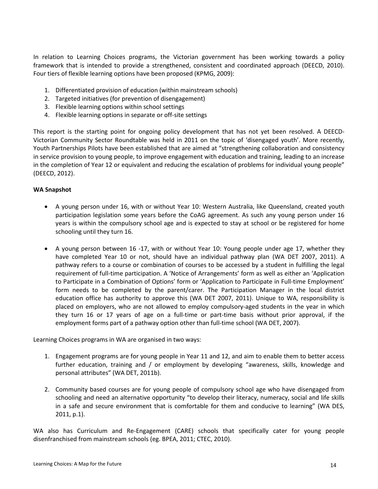In relation to Learning Choices programs, the Victorian government has been working towards a policy framework that is intended to provide a strengthened, consistent and coordinated approach (DEECD, 2010). Four tiers of flexible learning options have been proposed (KPMG, 2009):

- 1. Differentiated provision of education (within mainstream schools)
- 2. Targeted initiatives (for prevention of disengagement)
- 3. Flexible learning options within school settings
- 4. Flexible learning options in separate or off-site settings

This report is the starting point for ongoing policy development that has not yet been resolved. A DEECD-Victorian Community Sector Roundtable was held in 2011 on the topic of 'disengaged youth'. More recently, Youth Partnerships Pilots have been established that are aimed at "strengthening collaboration and consistency in service provision to young people, to improve engagement with education and training, leading to an increase in the completion of Year 12 or equivalent and reducing the escalation of problems for individual young people" (DEECD, 2012).

#### **WA Snapshot**

- A young person under 16, with or without Year 10: Western Australia, like Queensland, created youth participation legislation some years before the CoAG agreement. As such any young person under 16 years is within the compulsory school age and is expected to stay at school or be registered for home schooling until they turn 16.
- A young person between 16 -17, with or without Year 10: Young people under age 17, whether they have completed Year 10 or not, should have an individual pathway plan (WA DET 2007, 2011). A pathway refers to a course or combination of courses to be accessed by a student in fulfilling the legal requirement of full-time participation. A 'Notice of Arrangements' form as well as either an 'Application to Participate in a Combination of Options' form or 'Application to Participate in Full-time Employment' form needs to be completed by the parent/carer. The Participation Manager in the local district education office has authority to approve this (WA DET 2007, 2011). Unique to WA, responsibility is placed on employers, who are not allowed to employ compulsory-aged students in the year in which they turn 16 or 17 years of age on a full-time or part-time basis without prior approval, if the employment forms part of a pathway option other than full-time school (WA DET, 2007).

Learning Choices programs in WA are organised in two ways:

- 1. Engagement programs are for young people in Year 11 and 12, and aim to enable them to better access further education, training and / or employment by developing "awareness, skills, knowledge and personal attributes" (WA DET, 2011b).
- 2. Community based courses are for young people of compulsory school age who have disengaged from schooling and need an alternative opportunity "to develop their literacy, numeracy, social and life skills in a safe and secure environment that is comfortable for them and conducive to learning" (WA DES, 2011, p.1).

WA also has Curriculum and Re-Engagement (CARE) schools that specifically cater for young people disenfranchised from mainstream schools (eg. BPEA, 2011; CTEC, 2010).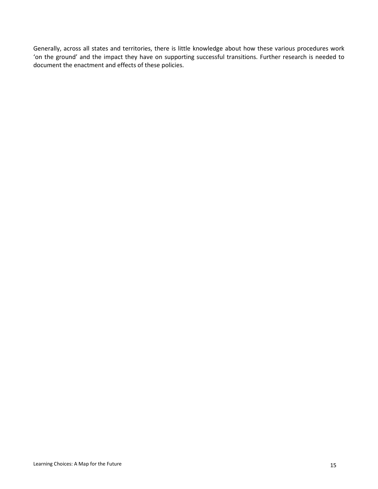Generally, across all states and territories, there is little knowledge about how these various procedures work 'on the ground' and the impact they have on supporting successful transitions. Further research is needed to document the enactment and effects of these policies.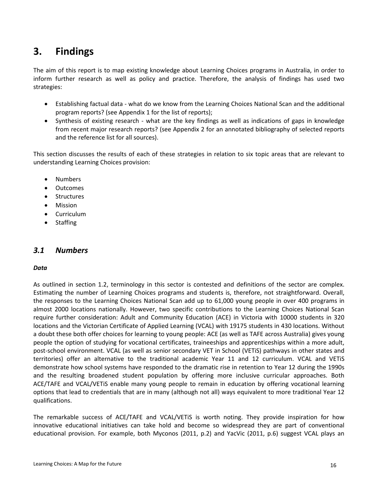# **3. Findings**

The aim of this report is to map existing knowledge about Learning Choices programs in Australia, in order to inform further research as well as policy and practice. Therefore, the analysis of findings has used two strategies:

- Establishing factual data what do we know from the Learning Choices National Scan and the additional program reports? (see Appendix 1 for the list of reports);
- Synthesis of existing research what are the key findings as well as indications of gaps in knowledge from recent major research reports? (see Appendix 2 for an annotated bibliography of selected reports and the reference list for all sources).

This section discusses the results of each of these strategies in relation to six topic areas that are relevant to understanding Learning Choices provision:

- Numbers
- Outcomes
- Structures
- Mission
- Curriculum
- Staffing

# *3.1 Numbers*

#### *Data*

As outlined in section 1.2, terminology in this sector is contested and definitions of the sector are complex. Estimating the number of Learning Choices programs and students is, therefore, not straightforward. Overall, the responses to the Learning Choices National Scan add up to 61,000 young people in over 400 programs in almost 2000 locations nationally. However, two specific contributions to the Learning Choices National Scan require further consideration: Adult and Community Education (ACE) in Victoria with 10000 students in 320 locations and the Victorian Certificate of Applied Learning (VCAL) with 19175 students in 430 locations. Without a doubt these both offer choices for learning to young people: ACE (as well as TAFE across Australia) gives young people the option of studying for vocational certificates, traineeships and apprenticeships within a more adult, post-school environment. VCAL (as well as senior secondary VET in School (VETiS) pathways in other states and territories) offer an alternative to the traditional academic Year 11 and 12 curriculum. VCAL and VETiS demonstrate how school systems have responded to the dramatic rise in retention to Year 12 during the 1990s and the resulting broadened student population by offering more inclusive curricular approaches. Both ACE/TAFE and VCAL/VETiS enable many young people to remain in education by offering vocational learning options that lead to credentials that are in many (although not all) ways equivalent to more traditional Year 12 qualifications.

The remarkable success of ACE/TAFE and VCAL/VETiS is worth noting. They provide inspiration for how innovative educational initiatives can take hold and become so widespread they are part of conventional educational provision. For example, both Myconos (2011, p.2) and YacVic (2011, p.6) suggest VCAL plays an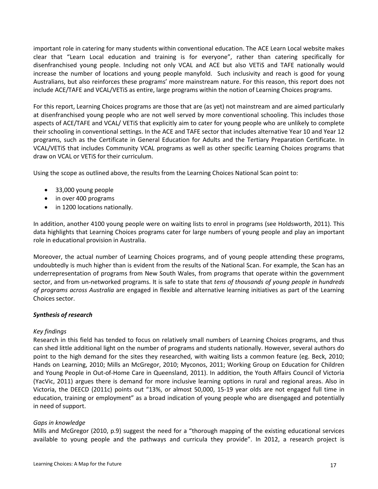important role in catering for many students within conventional education. The ACE Learn Local website makes clear that "Learn Local education and training is for everyone", rather than catering specifically for disenfranchised young people. Including not only VCAL and ACE but also VETiS and TAFE nationally would increase the number of locations and young people manyfold. Such inclusivity and reach is good for young Australians, but also reinforces these programs' more mainstream nature. For this reason, this report does not include ACE/TAFE and VCAL/VETiS as entire, large programs within the notion of Learning Choices programs.

For this report, Learning Choices programs are those that are (as yet) not mainstream and are aimed particularly at disenfranchised young people who are not well served by more conventional schooling. This includes those aspects of ACE/TAFE and VCAL/ VETiS that explicitly aim to cater for young people who are unlikely to complete their schooling in conventional settings. In the ACE and TAFE sector that includes alternative Year 10 and Year 12 programs, such as the Certificate in General Education for Adults and the Tertiary Preparation Certificate. In VCAL/VETiS that includes Community VCAL programs as well as other specific Learning Choices programs that draw on VCAL or VETiS for their curriculum.

Using the scope as outlined above, the results from the Learning Choices National Scan point to:

- 33,000 young people
- in over 400 programs
- in 1200 locations nationally.

In addition, another 4100 young people were on waiting lists to enrol in programs (see Holdsworth, 2011). This data highlights that Learning Choices programs cater for large numbers of young people and play an important role in educational provision in Australia.

Moreover, the actual number of Learning Choices programs, and of young people attending these programs, undoubtedly is much higher than is evident from the results of the National Scan. For example, the Scan has an underrepresentation of programs from New South Wales, from programs that operate within the government sector, and from un-networked programs. It is safe to state that *tens of thousands of young people in hundreds of programs across Australia* are engaged in flexible and alternative learning initiatives as part of the Learning Choices sector.

#### *Synthesis of research*

#### *Key findings*

Research in this field has tended to focus on relatively small numbers of Learning Choices programs, and thus can shed little additional light on the number of programs and students nationally. However, several authors do point to the high demand for the sites they researched, with waiting lists a common feature (eg. Beck, 2010; Hands on Learning, 2010; Mills an McGregor, 2010; Myconos, 2011; Working Group on Education for Children and Young People in Out-of-Home Care in Queensland, 2011). In addition, the Youth Affairs Council of Victoria (YacVic, 2011) argues there is demand for more inclusive learning options in rural and regional areas. Also in Victoria, the DEECD (2011c) points out "13%, or almost 50,000, 15-19 year olds are not engaged full time in education, training or employment" as a broad indication of young people who are disengaged and potentially in need of support.

#### *Gaps in knowledge*

Mills and McGregor (2010, p.9) suggest the need for a "thorough mapping of the existing educational services available to young people and the pathways and curricula they provide". In 2012, a research project is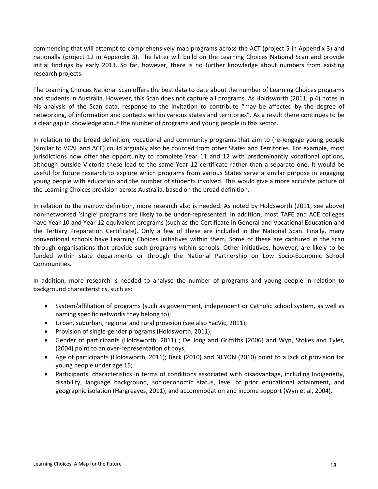commencing that will attempt to comprehensively map programs across the ACT (project 5 in Appendix 3) and nationally (project 12 in Appendix 3). The latter will build on the Learning Choices National Scan and provide initial findings by early 2013. So far, however, there is no further knowledge about numbers from existing research projects.

The Learning Choices National Scan offers the best data to date about the number of Learning Choices programs and students in Australia. However, this Scan does not capture all programs. As Holdsworth (2011, p.4) notes in his analysis of the Scan data, response to the invitation to contribute "may be affected by the degree of networking, of information and contacts within various states and territories". As a result there continues to be a clear gap in knowledge about the number of programs and young people in this sector.

In relation to the broad definition, vocational and community programs that aim to (re-)engage young people (similar to VCAL and ACE) could arguably also be counted from other States and Territories. For example, most jurisdictions now offer the opportunity to complete Year 11 and 12 with predominantly vocational options, although outside Victoria these lead to the same Year 12 certificate rather than a separate one. It would be useful for future research to explore which programs from various States serve a similar purpose in engaging young people with education and the number of students involved. This would give a more accurate picture of the Learning Choices provision across Australia, based on the broad definition.

In relation to the narrow definition, more research also is needed. As noted by Holdsworth (2011, see above) non-networked 'single' programs are likely to be under-represented. In addition, most TAFE and ACE colleges have Year 10 and Year 12 equivalent programs (such as the Certificate in General and Vocational Education and the Tertiary Preparation Certificate). Only a few of these are included in the National Scan. Finally, many conventional schools have Learning Choices initiatives within them. Some of these are captured in the scan through organisations that provide such programs within schools. Other initiatives, however, are likely to be funded within state departments or through the National Partnership on Low Socio-Economic School Communities.

In addition, more research is needed to analyse the number of programs and young people in relation to background characteristics, such as:

- System/affiliation of programs (such as government, independent or Catholic school system, as well as naming specific networks they belong to);
- Urban, suburban, regional and rural provision (see also YacVic, 2011);
- Provision of single-gender programs (Holdsworth, 2011);
- Gender of participants (Holdsworth, 2011) ; De Jong and Griffiths (2006) and Wyn, Stokes and Tyler, (2004) point to an over-representation of boys;
- Age of participants (Holdsworth, 2011); Beck (2010) and NEYON (2010) point to a lack of provision for young people under age 15;
- Participants' characteristics in terms of conditions associated with disadvantage, including Indigeneity, disability, language background, socioeconomic status, level of prior educational attainment, and geographic isolation (Hargreaves, 2011), and accommodation and income support (Wyn et al, 2004).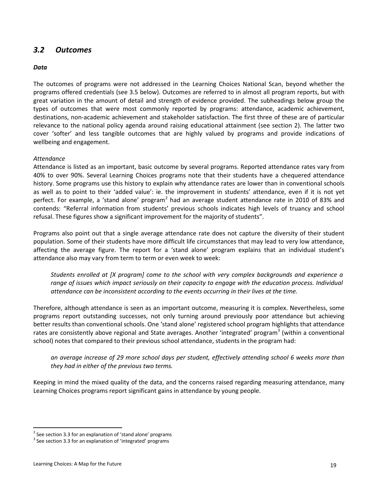# *3.2 Outcomes*

#### *Data*

The outcomes of programs were not addressed in the Learning Choices National Scan, beyond whether the programs offered credentials (see 3.5 below). Outcomes are referred to in almost all program reports, but with great variation in the amount of detail and strength of evidence provided. The subheadings below group the types of outcomes that were most commonly reported by programs: attendance, academic achievement, destinations, non-academic achievement and stakeholder satisfaction. The first three of these are of particular relevance to the national policy agenda around raising educational attainment (see section 2). The latter two cover 'softer' and less tangible outcomes that are highly valued by programs and provide indications of wellbeing and engagement.

#### *Attendance*

Attendance is listed as an important, basic outcome by several programs. Reported attendance rates vary from 40% to over 90%. Several Learning Choices programs note that their students have a chequered attendance history. Some programs use this history to explain why attendance rates are lower than in conventional schools as well as to point to their 'added value': ie. the improvement in students' attendance, even if it is not yet perfect. For example, a 'stand alone' program<sup>[2](#page-18-0)</sup> had an average student attendance rate in 2010 of 83% and contends: "Referral information from students' previous schools indicates high levels of truancy and school refusal. These figures show a significant improvement for the majority of students".

Programs also point out that a single average attendance rate does not capture the diversity of their student population. Some of their students have more difficult life circumstances that may lead to very low attendance, affecting the average figure. The report for a 'stand alone' program explains that an individual student's attendance also may vary from term to term or even week to week:

*Students enrolled at [X program] come to the school with very complex backgrounds and experience a range of issues which impact seriously on their capacity to engage with the education process. Individual attendance can be inconsistent according to the events occurring in their lives at the time.*

Therefore, although attendance is seen as an important outcome, measuring it is complex. Nevertheless, some programs report outstanding successes, not only turning around previously poor attendance but achieving better results than conventional schools. One 'stand alone' registered school program highlights that attendance rates are consistently above regional and State averages. Another 'integrated' program<sup>[3](#page-18-1)</sup> (within a conventional school) notes that compared to their previous school attendance, students in the program had:

*an average increase of 29 more school days per student, effectively attending school 6 weeks more than they had in either of the previous two terms.*

Keeping in mind the mixed quality of the data, and the concerns raised regarding measuring attendance, many Learning Choices programs report significant gains in attendance by young people.

<span id="page-18-0"></span> $2$  See section 3.3 for an explanation of 'stand alone' programs

<span id="page-18-1"></span><sup>&</sup>lt;sup>3</sup> See section 3.3 for an explanation of 'integrated' programs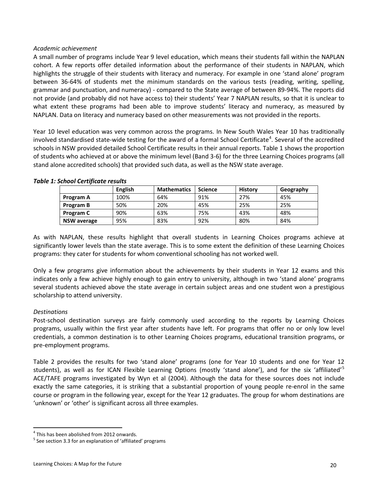#### *Academic achievement*

A small number of programs include Year 9 level education, which means their students fall within the NAPLAN cohort. A few reports offer detailed information about the performance of their students in NAPLAN, which highlights the struggle of their students with literacy and numeracy. For example in one 'stand alone' program between 36-64% of students met the minimum standards on the various tests (reading, writing, spelling, grammar and punctuation, and numeracy) - compared to the State average of between 89-94%. The reports did not provide (and probably did not have access to) their students' Year 7 NAPLAN results, so that it is unclear to what extent these programs had been able to improve students' literacy and numeracy, as measured by NAPLAN. Data on literacy and numeracy based on other measurements was not provided in the reports.

Year 10 level education was very common across the programs. In New South Wales Year 10 has traditionally involved standardised state-wide testing for the award of a formal School Certificate<sup>[4](#page-19-0)</sup>. Several of the accredited schools in NSW provided detailed School Certificate results in their annual reports. Table 1 shows the proportion of students who achieved at or above the minimum level (Band 3-6) for the three Learning Choices programs (all stand alone accredited schools) that provided such data, as well as the NSW state average.

|                    | English | <b>Mathematics</b> | <b>Science</b> | <b>History</b> | Geography |
|--------------------|---------|--------------------|----------------|----------------|-----------|
| Program A          | 100%    | 64%                | 91%            | 27%            | 45%       |
| Program B          | 50%     | 20%                | 45%            | 25%            | 25%       |
| Program C          | 90%     | 63%                | 75%            | 43%            | 48%       |
| <b>NSW average</b> | 95%     | 83%                | 92%            | 80%            | 84%       |

#### *Table 1: School Certificate results*

As with NAPLAN, these results highlight that overall students in Learning Choices programs achieve at significantly lower levels than the state average. This is to some extent the definition of these Learning Choices programs: they cater for students for whom conventional schooling has not worked well.

Only a few programs give information about the achievements by their students in Year 12 exams and this indicates only a few achieve highly enough to gain entry to university, although in two 'stand alone' programs several students achieved above the state average in certain subject areas and one student won a prestigious scholarship to attend university.

#### *Destinations*

Post-school destination surveys are fairly commonly used according to the reports by Learning Choices programs, usually within the first year after students have left. For programs that offer no or only low level credentials, a common destination is to other Learning Choices programs, educational transition programs, or pre-employment programs.

Table 2 provides the results for two 'stand alone' programs (one for Year 10 students and one for Year 12 students), as well as for ICAN Flexible Learning Options (mostly 'stand alone'), and for the six 'affiliated'<sup>[5](#page-19-1)</sup> ACE/TAFE programs investigated by Wyn et al (2004). Although the data for these sources does not include exactly the same categories, it is striking that a substantial proportion of young people re-enrol in the same course or program in the following year, except for the Year 12 graduates. The group for whom destinations are 'unknown' or 'other' is significant across all three examples.

<span id="page-19-0"></span><sup>&</sup>lt;sup>4</sup> This has been abolished from 2012 onwards.

<span id="page-19-1"></span><sup>&</sup>lt;sup>5</sup> See section 3.3 for an explanation of 'affiliated' programs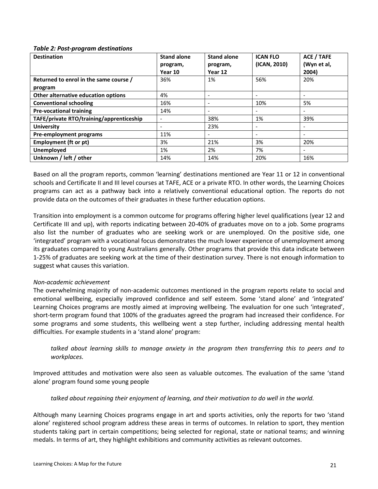#### *Table 2: Post-program destinations*

| <b>Destination</b>                       | <b>Stand alone</b><br>program,<br>Year 10 | <b>Stand alone</b><br>program,<br>Year 12 | <b>ICAN FLO</b><br>(ICAN, 2010) | <b>ACE / TAFE</b><br>(Wyn et al,<br>2004) |
|------------------------------------------|-------------------------------------------|-------------------------------------------|---------------------------------|-------------------------------------------|
| Returned to enrol in the same course /   | 36%                                       | 1%                                        | 56%                             | 20%                                       |
| program                                  |                                           |                                           |                                 |                                           |
| Other alternative education options      | 4%                                        |                                           |                                 | $\overline{\phantom{a}}$                  |
| <b>Conventional schooling</b>            | 16%                                       |                                           | 10%                             | 5%                                        |
| <b>Pre-vocational training</b>           | 14%                                       |                                           |                                 | $\overline{\phantom{a}}$                  |
| TAFE/private RTO/training/apprenticeship | $\overline{\phantom{a}}$                  | 38%                                       | 1%                              | 39%                                       |
| <b>University</b>                        |                                           | 23%                                       |                                 | $\overline{\phantom{a}}$                  |
| Pre-employment programs                  | 11%                                       |                                           |                                 |                                           |
| Employment (ft or pt)                    | 3%                                        | 21%                                       | 3%                              | 20%                                       |
| Unemployed                               | 1%                                        | 2%                                        | 7%                              | $\qquad \qquad \blacksquare$              |
| Unknown / left / other                   | 14%                                       | 14%                                       | 20%                             | 16%                                       |

Based on all the program reports, common 'learning' destinations mentioned are Year 11 or 12 in conventional schools and Certificate II and III level courses at TAFE, ACE or a private RTO. In other words, the Learning Choices programs can act as a pathway back into a relatively conventional educational option. The reports do not provide data on the outcomes of their graduates in these further education options.

Transition into employment is a common outcome for programs offering higher level qualifications (year 12 and Certificate III and up), with reports indicating between 20-40% of graduates move on to a job. Some programs also list the number of graduates who are seeking work or are unemployed. On the positive side, one 'integrated' program with a vocational focus demonstrates the much lower experience of unemployment among its graduates compared to young Australians generally. Other programs that provide this data indicate between 1-25% of graduates are seeking work at the time of their destination survey. There is not enough information to suggest what causes this variation.

#### *Non-academic achievement*

The overwhelming majority of non-academic outcomes mentioned in the program reports relate to social and emotional wellbeing, especially improved confidence and self esteem. Some 'stand alone' and 'integrated' Learning Choices programs are mostly aimed at improving wellbeing. The evaluation for one such 'integrated', short-term program found that 100% of the graduates agreed the program had increased their confidence. For some programs and some students, this wellbeing went a step further, including addressing mental health difficulties. For example students in a 'stand alone' program:

*talked about learning skills to manage anxiety in the program then transferring this to peers and to workplaces.*

Improved attitudes and motivation were also seen as valuable outcomes. The evaluation of the same 'stand alone' program found some young people

*talked about regaining their enjoyment of learning, and their motivation to do well in the world.* 

Although many Learning Choices programs engage in art and sports activities, only the reports for two 'stand alone' registered school program address these areas in terms of outcomes. In relation to sport, they mention students taking part in certain competitions; being selected for regional, state or national teams; and winning medals. In terms of art, they highlight exhibitions and community activities as relevant outcomes.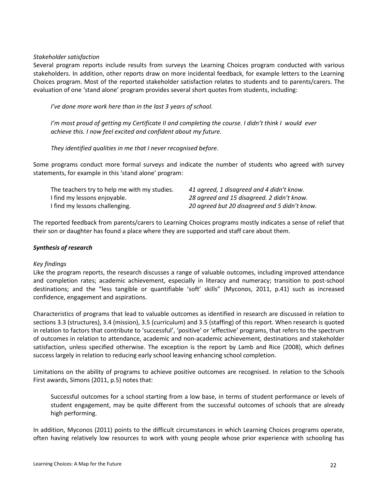#### *Stakeholder satisfaction*

Several program reports include results from surveys the Learning Choices program conducted with various stakeholders. In addition, other reports draw on more incidental feedback, for example letters to the Learning Choices program. Most of the reported stakeholder satisfaction relates to students and to parents/carers. The evaluation of one 'stand alone' program provides several short quotes from students, including:

*I've done more work here than in the last 3 years of school.*

*I'm most proud of getting my Certificate II and completing the course. I didn't think I would ever achieve this. I now feel excited and confident about my future.*

*They identified qualities in me that I never recognised before.*

Some programs conduct more formal surveys and indicate the number of students who agreed with survey statements, for example in this 'stand alone' program:

| The teachers try to help me with my studies. | 41 agreed, 1 disagreed and 4 didn't know.     |
|----------------------------------------------|-----------------------------------------------|
| I find my lessons enjoyable.                 | 28 agreed and 15 disagreed. 2 didn't know.    |
| I find my lessons challenging.               | 20 agreed but 20 disagreed and 5 didn't know. |

The reported feedback from parents/carers to Learning Choices programs mostly indicates a sense of relief that their son or daughter has found a place where they are supported and staff care about them.

#### *Synthesis of research*

#### *Key findings*

Like the program reports, the research discusses a range of valuable outcomes, including improved attendance and completion rates; academic achievement, especially in literacy and numeracy; transition to post-school destinations; and the "less tangible or quantifiable 'soft' skills" (Myconos, 2011, p.41) such as increased confidence, engagement and aspirations.

Characteristics of programs that lead to valuable outcomes as identified in research are discussed in relation to sections 3.3 (structures), 3.4 (mission), 3.5 (curriculum) and 3.5 (staffing) of this report. When research is quoted in relation to factors that contribute to 'successful', 'positive' or 'effective' programs, that refers to the spectrum of outcomes in relation to attendance, academic and non-academic achievement, destinations and stakeholder satisfaction, unless specified otherwise. The exception is the report by Lamb and Rice (2008), which defines success largely in relation to reducing early school leaving enhancing school completion.

Limitations on the ability of programs to achieve positive outcomes are recognised. In relation to the Schools First awards, Simons (2011, p.5) notes that:

Successful outcomes for a school starting from a low base, in terms of student performance or levels of student engagement, may be quite different from the successful outcomes of schools that are already high performing.

In addition, Myconos (2011) points to the difficult circumstances in which Learning Choices programs operate, often having relatively low resources to work with young people whose prior experience with schooling has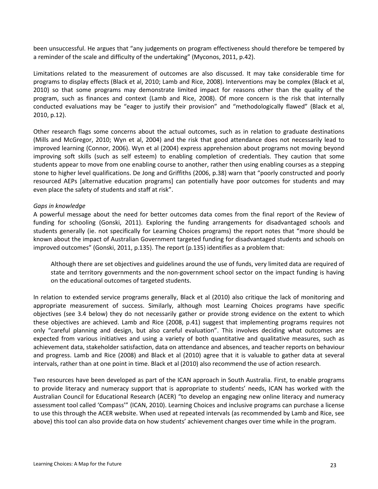been unsuccessful. He argues that "any judgements on program effectiveness should therefore be tempered by a reminder of the scale and difficulty of the undertaking" (Myconos, 2011, p.42).

Limitations related to the measurement of outcomes are also discussed. It may take considerable time for programs to display effects (Black et al, 2010; Lamb and Rice, 2008). Interventions may be complex (Black et al, 2010) so that some programs may demonstrate limited impact for reasons other than the quality of the program, such as finances and context (Lamb and Rice, 2008). Of more concern is the risk that internally conducted evaluations may be "eager to justify their provision" and "methodologically flawed" (Black et al, 2010, p.12).

Other research flags some concerns about the actual outcomes, such as in relation to graduate destinations (Mills and McGregor, 2010; Wyn et al, 2004) and the risk that good attendance does not necessarily lead to improved learning (Connor, 2006). Wyn et al (2004) express apprehension about programs not moving beyond improving soft skills (such as self esteem) to enabling completion of credentials. They caution that some students appear to move from one enabling course to another, rather then using enabling courses as a stepping stone to higher level qualifications. De Jong and Griffiths (2006, p.38) warn that "poorly constructed and poorly resourced AEPs [alternative education programs] can potentially have poor outcomes for students and may even place the safety of students and staff at risk".

#### *Gaps in knowledge*

A powerful message about the need for better outcomes data comes from the final report of the Review of funding for schooling (Gonski, 2011). Exploring the funding arrangements for disadvantaged schools and students generally (ie. not specifically for Learning Choices programs) the report notes that "more should be known about the impact of Australian Government targeted funding for disadvantaged students and schools on improved outcomes" (Gonski, 2011, p.135). The report (p.135) identifies as a problem that:

Although there are set objectives and guidelines around the use of funds, very limited data are required of state and territory governments and the non-government school sector on the impact funding is having on the educational outcomes of targeted students.

In relation to extended service programs generally, Black et al (2010) also critique the lack of monitoring and appropriate measurement of success. Similarly, although most Learning Choices programs have specific objectives (see 3.4 below) they do not necessarily gather or provide strong evidence on the extent to which these objectives are achieved. Lamb and Rice (2008, p.41) suggest that implementing programs requires not only "careful planning and design, but also careful evaluation". This involves deciding what outcomes are expected from various initiatives and using a variety of both quantitative and qualitative measures, such as achievement data, stakeholder satisfaction, data on attendance and absences, and teacher reports on behaviour and progress. Lamb and Rice (2008) and Black et al (2010) agree that it is valuable to gather data at several intervals, rather than at one point in time. Black et al (2010) also recommend the use of action research.

Two resources have been developed as part of the ICAN approach in South Australia. First, to enable programs to provide literacy and numeracy support that is appropriate to students' needs, ICAN has worked with the Australian Council for Educational Research (ACER) "to develop an engaging new online literacy and numeracy assessment tool called 'Compass'" (ICAN, 2010). Learning Choices and inclusive programs can purchase a license to use this through the ACER website. When used at repeated intervals (as recommended by Lamb and Rice, see above) this tool can also provide data on how students' achievement changes over time while in the program.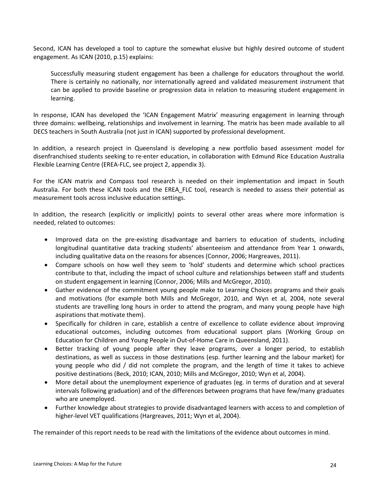Second, ICAN has developed a tool to capture the somewhat elusive but highly desired outcome of student engagement. As ICAN (2010, p.15) explains:

Successfully measuring student engagement has been a challenge for educators throughout the world. There is certainly no nationally, nor internationally agreed and validated measurement instrument that can be applied to provide baseline or progression data in relation to measuring student engagement in learning.

In response, ICAN has developed the 'ICAN Engagement Matrix' measuring engagement in learning through three domains: wellbeing, relationships and involvement in learning. The matrix has been made available to all DECS teachers in South Australia (not just in ICAN) supported by professional development.

In addition, a research project in Queensland is developing a new portfolio based assessment model for disenfranchised students seeking to re-enter education, in collaboration with Edmund Rice Education Australia Flexible Learning Centre (EREA-FLC, see project 2, appendix 3).

For the ICAN matrix and Compass tool research is needed on their implementation and impact in South Australia. For both these ICAN tools and the EREA\_FLC tool, research is needed to assess their potential as measurement tools across inclusive education settings.

In addition, the research (explicitly or implicitly) points to several other areas where more information is needed, related to outcomes:

- Improved data on the pre-existing disadvantage and barriers to education of students, including longitudinal quantitative data tracking students' absenteeism and attendance from Year 1 onwards, including qualitative data on the reasons for absences (Connor, 2006; Hargreaves, 2011).
- Compare schools on how well they seem to 'hold' students and determine which school practices contribute to that, including the impact of school culture and relationships between staff and students on student engagement in learning (Connor, 2006; Mills and McGregor, 2010).
- Gather evidence of the commitment young people make to Learning Choices programs and their goals and motivations (for example both Mills and McGregor, 2010, and Wyn et al, 2004, note several students are travelling long hours in order to attend the program, and many young people have high aspirations that motivate them).
- Specifically for children in care, establish a centre of excellence to collate evidence about improving educational outcomes, including outcomes from educational support plans (Working Group on Education for Children and Young People in Out-of-Home Care in Queensland, 2011).
- Better tracking of young people after they leave programs, over a longer period, to establish destinations, as well as success in those destinations (esp. further learning and the labour market) for young people who did / did not complete the program, and the length of time it takes to achieve positive destinations (Beck, 2010; ICAN, 2010; Mills and McGregor, 2010; Wyn et al, 2004).
- More detail about the unemployment experience of graduates (eg. in terms of duration and at several intervals following graduation) and of the differences between programs that have few/many graduates who are unemployed.
- Further knowledge about strategies to provide disadvantaged learners with access to and completion of higher-level VET qualifications (Hargreaves, 2011; Wyn et al, 2004).

The remainder of this report needs to be read with the limitations of the evidence about outcomes in mind.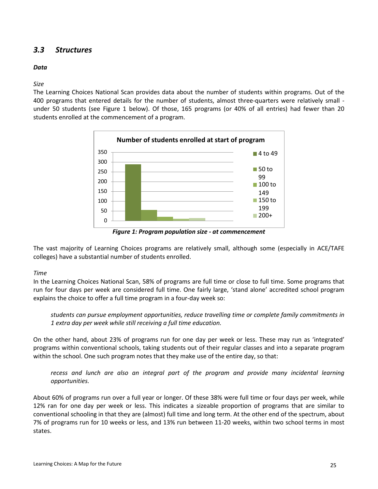# *3.3 Structures*

#### *Data*

#### *Size*

The Learning Choices National Scan provides data about the number of students within programs. Out of the 400 programs that entered details for the number of students, almost three-quarters were relatively small under 50 students (see Figure 1 below). Of those, 165 programs (or 40% of all entries) had fewer than 20 students enrolled at the commencement of a program.



*Figure 1: Program population size - at commencement*

The vast majority of Learning Choices programs are relatively small, although some (especially in ACE/TAFE colleges) have a substantial number of students enrolled.

# *Time*

In the Learning Choices National Scan, 58% of programs are full time or close to full time. Some programs that run for four days per week are considered full time. One fairly large, 'stand alone' accredited school program explains the choice to offer a full time program in a four-day week so:

*students can pursue employment opportunities, reduce travelling time or complete family commitments in 1 extra day per week while still receiving a full time education.*

On the other hand, about 23% of programs run for one day per week or less. These may run as 'integrated' programs within conventional schools, taking students out of their regular classes and into a separate program within the school. One such program notes that they make use of the entire day, so that:

recess and lunch are also an integral part of the program and provide many incidental learning *opportunities.*

About 60% of programs run over a full year or longer. Of these 38% were full time or four days per week, while 12% ran for one day per week or less. This indicates a sizeable proportion of programs that are similar to conventional schooling in that they are (almost) full time and long term. At the other end of the spectrum, about 7% of programs run for 10 weeks or less, and 13% run between 11-20 weeks, within two school terms in most states.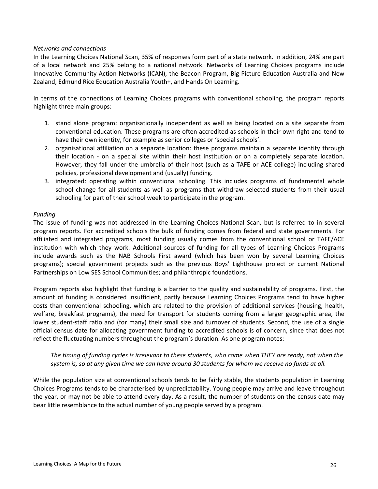#### *Networks and connections*

In the Learning Choices National Scan, 35% of responses form part of a state network. In addition, 24% are part of a local network and 25% belong to a national network. Networks of Learning Choices programs include Innovative Community Action Networks (ICAN), the Beacon Program, Big Picture Education Australia and New Zealand, Edmund Rice Education Australia Youth+, and Hands On Learning.

In terms of the connections of Learning Choices programs with conventional schooling, the program reports highlight three main groups:

- 1. stand alone program: organisationally independent as well as being located on a site separate from conventional education. These programs are often accredited as schools in their own right and tend to have their own identity, for example as senior colleges or 'special schools'.
- 2. organisational affiliation on a separate location: these programs maintain a separate identity through their location - on a special site within their host institution or on a completely separate location. However, they fall under the umbrella of their host (such as a TAFE or ACE college) including shared policies, professional development and (usually) funding.
- 3. integrated: operating within conventional schooling. This includes programs of fundamental whole school change for all students as well as programs that withdraw selected students from their usual schooling for part of their school week to participate in the program.

#### *Funding*

The issue of funding was not addressed in the Learning Choices National Scan, but is referred to in several program reports. For accredited schools the bulk of funding comes from federal and state governments. For affiliated and integrated programs, most funding usually comes from the conventional school or TAFE/ACE institution with which they work. Additional sources of funding for all types of Learning Choices Programs include awards such as the NAB Schools First award (which has been won by several Learning Choices programs); special government projects such as the previous Boys' Lighthouse project or current National Partnerships on Low SES School Communities; and philanthropic foundations.

Program reports also highlight that funding is a barrier to the quality and sustainability of programs. First, the amount of funding is considered insufficient, partly because Learning Choices Programs tend to have higher costs than conventional schooling, which are related to the provision of additional services (housing, health, welfare, breakfast programs), the need for transport for students coming from a larger geographic area, the lower student-staff ratio and (for many) their small size and turnover of students. Second, the use of a single official census date for allocating government funding to accredited schools is of concern, since that does not reflect the fluctuating numbers throughout the program's duration. As one program notes:

#### *The timing of funding cycles is irrelevant to these students, who come when THEY are ready, not when the system is, so at any given time we can have around 30 students for whom we receive no funds at all.*

While the population size at conventional schools tends to be fairly stable, the students population in Learning Choices Programs tends to be characterised by unpredictability. Young people may arrive and leave throughout the year, or may not be able to attend every day. As a result, the number of students on the census date may bear little resemblance to the actual number of young people served by a program.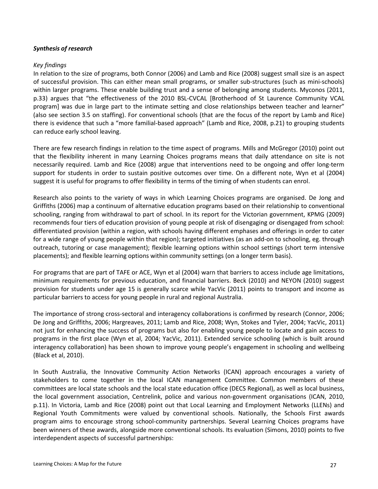#### *Synthesis of research*

#### *Key findings*

In relation to the size of programs, both Connor (2006) and Lamb and Rice (2008) suggest small size is an aspect of successful provision. This can either mean small programs, or smaller sub-structures (such as mini-schools) within larger programs. These enable building trust and a sense of belonging among students. Myconos (2011, p.33) argues that "the effectiveness of the 2010 BSL-CVCAL [Brotherhood of St Laurence Community VCAL program] was due in large part to the intimate setting and close relationships between teacher and learner" (also see section 3.5 on staffing). For conventional schools (that are the focus of the report by Lamb and Rice) there is evidence that such a "more familial-based approach" (Lamb and Rice, 2008, p.21) to grouping students can reduce early school leaving.

There are few research findings in relation to the time aspect of programs. Mills and McGregor (2010) point out that the flexibility inherent in many Learning Choices programs means that daily attendance on site is not necessarily required. Lamb and Rice (2008) argue that interventions need to be ongoing and offer long-term support for students in order to sustain positive outcomes over time. On a different note, Wyn et al (2004) suggest it is useful for programs to offer flexibility in terms of the timing of when students can enrol.

Research also points to the variety of ways in which Learning Choices programs are organised. De Jong and Griffiths (2006) map a continuum of alternative education programs based on their relationship to conventional schooling, ranging from withdrawal to part of school. In its report for the Victorian government, KPMG (2009) recommends four tiers of education provision of young people at risk of disengaging or disengaged from school: differentiated provision (within a region, with schools having different emphases and offerings in order to cater for a wide range of young people within that region); targeted initiatives (as an add-on to schooling, eg. through outreach, tutoring or case management); flexible learning options within school settings (short term intensive placements); and flexible learning options within community settings (on a longer term basis).

For programs that are part of TAFE or ACE, Wyn et al (2004) warn that barriers to access include age limitations, minimum requirements for previous education, and financial barriers. Beck (2010) and NEYON (2010) suggest provision for students under age 15 is generally scarce while YacVic (2011) points to transport and income as particular barriers to access for young people in rural and regional Australia.

The importance of strong cross-sectoral and interagency collaborations is confirmed by research (Connor, 2006; De Jong and Griffiths, 2006; Hargreaves, 2011; Lamb and Rice, 2008; Wyn, Stokes and Tyler, 2004; YacVic, 2011) not just for enhancing the success of programs but also for enabling young people to locate and gain access to programs in the first place (Wyn et al, 2004; YacVic, 2011). Extended service schooling (which is built around interagency collaboration) has been shown to improve young people's engagement in schooling and wellbeing (Black et al, 2010).

In South Australia, the Innovative Community Action Networks (ICAN) approach encourages a variety of stakeholders to come together in the local ICAN management Committee. Common members of these committees are local state schools and the local state education office (DECS Regional), as well as local business, the local government association, Centrelink, police and various non-government organisations (ICAN, 2010, p.11). In Victoria, Lamb and Rice (2008) point out that Local Learning and Employment Networks (LLENs) and Regional Youth Commitments were valued by conventional schools. Nationally, the Schools First awards program aims to encourage strong school-community partnerships. Several Learning Choices programs have been winners of these awards, alongside more conventional schools. Its evaluation (Simons, 2010) points to five interdependent aspects of successful partnerships: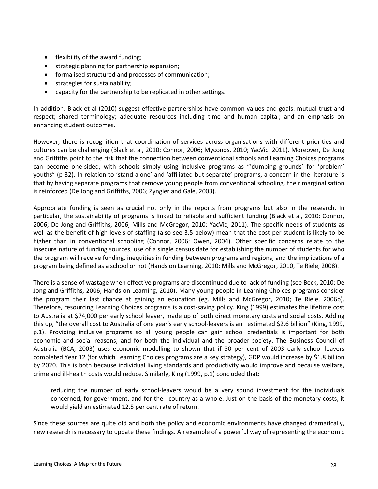- flexibility of the award funding;
- strategic planning for partnership expansion;
- formalised structured and processes of communication;
- strategies for sustainability;
- capacity for the partnership to be replicated in other settings.

In addition, Black et al (2010) suggest effective partnerships have common values and goals; mutual trust and respect; shared terminology; adequate resources including time and human capital; and an emphasis on enhancing student outcomes.

However, there is recognition that coordination of services across organisations with different priorities and cultures can be challenging (Black et al, 2010; Connor, 2006; Myconos, 2010; YacVic, 2011). Moreover, De Jong and Griffiths point to the risk that the connection between conventional schools and Learning Choices programs can become one-sided, with schools simply using inclusive programs as "'dumping grounds' for 'problem' youths" (p 32). In relation to 'stand alone' and 'affiliated but separate' programs, a concern in the literature is that by having separate programs that remove young people from conventional schooling, their marginalisation is reinforced (De Jong and Griffiths, 2006; Zyngier and Gale, 2003).

Appropriate funding is seen as crucial not only in the reports from programs but also in the research. In particular, the sustainability of programs is linked to reliable and sufficient funding (Black et al, 2010; Connor, 2006; De Jong and Griffiths, 2006; Mills and McGregor, 2010; YacVic, 2011). The specific needs of students as well as the benefit of high levels of staffing (also see 3.5 below) mean that the cost per student is likely to be higher than in conventional schooling (Connor, 2006; Owen, 2004). Other specific concerns relate to the insecure nature of funding sources, use of a single census date for establishing the number of students for who the program will receive funding, inequities in funding between programs and regions, and the implications of a program being defined as a school or not (Hands on Learning, 2010; Mills and McGregor, 2010, Te Riele, 2008).

There is a sense of wastage when effective programs are discontinued due to lack of funding (see Beck, 2010; De Jong and Griffiths, 2006; Hands on Learning, 2010). Many young people in Learning Choices programs consider the program their last chance at gaining an education (eg. Mills and McGregor, 2010; Te Riele, 2006b). Therefore, resourcing Learning Choices programs is a cost-saving policy. King (1999) estimates the lifetime cost to Australia at \$74,000 per early school leaver, made up of both direct monetary costs and social costs. Adding this up, "the overall cost to Australia of one year's early school-leavers is an estimated \$2.6 billion" (King, 1999, p.1). Providing inclusive programs so all young people can gain school credentials is important for both economic and social reasons; and for both the individual and the broader society. The Business Council of Australia (BCA, 2003) uses economic modelling to shown that if 50 per cent of 2003 early school leavers completed Year 12 (for which Learning Choices programs are a key strategy), GDP would increase by \$1.8 billion by 2020. This is both because individual living standards and productivity would improve and because welfare, crime and ill-health costs would reduce. Similarly, King (1999, p.1) concluded that:

reducing the number of early school-leavers would be a very sound investment for the individuals concerned, for government, and for the country as a whole. Just on the basis of the monetary costs, it would yield an estimated 12.5 per cent rate of return.

Since these sources are quite old and both the policy and economic environments have changed dramatically, new research is necessary to update these findings. An example of a powerful way of representing the economic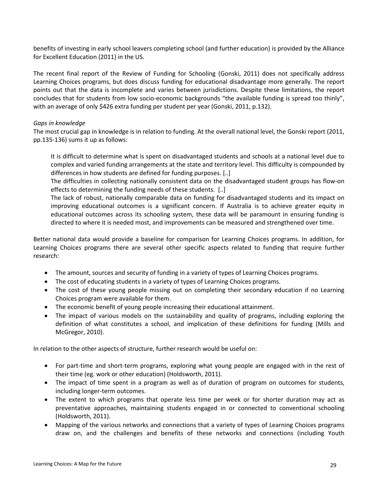benefits of investing in early school leavers completing school (and further education) is provided by the Alliance for Excellent Education (2011) in the US.

The recent final report of the Review of Funding for Schooling (Gonski, 2011) does not specifically address Learning Choices programs, but does discuss funding for educational disadvantage more generally. The report points out that the data is incomplete and varies between jurisdictions. Despite these limitations, the report concludes that for students from low socio-economic backgrounds "the available funding is spread too thinly", with an average of only \$426 extra funding per student per year (Gonski, 2011, p.132).

#### *Gaps in knowledge*

The most crucial gap in knowledge is in relation to funding. At the overall national level, the Gonski report (2011, pp.135-136) sums it up as follows:

It is difficult to determine what is spent on disadvantaged students and schools at a national level due to complex and varied funding arrangements at the state and territory level. This difficulty is compounded by differences in how students are defined for funding purposes. [..]

The difficulties in collecting nationally consistent data on the disadvantaged student groups has flow-on effects to determining the funding needs of these students. [..]

The lack of robust, nationally comparable data on funding for disadvantaged students and its impact on improving educational outcomes is a significant concern. If Australia is to achieve greater equity in educational outcomes across its schooling system, these data will be paramount in ensuring funding is directed to where it is needed most, and improvements can be measured and strengthened over time.

Better national data would provide a baseline for comparison for Learning Choices programs. In addition, for Learning Choices programs there are several other specific aspects related to funding that require further research:

- The amount, sources and security of funding in a variety of types of Learning Choices programs.
- The cost of educating students in a variety of types of Learning Choices programs.
- The cost of these young people missing out on completing their secondary education if no Learning Choices program were available for them.
- The economic benefit of young people increasing their educational attainment.
- The impact of various models on the sustainability and quality of programs, including exploring the definition of what constitutes a school, and implication of these definitions for funding (Mills and McGregor, 2010).

In relation to the other aspects of structure, further research would be useful on:

- For part-time and short-term programs, exploring what young people are engaged with in the rest of their time (eg. work or other education) (Holdsworth, 2011).
- The impact of time spent in a program as well as of duration of program on outcomes for students, including longer-term outcomes.
- The extent to which programs that operate less time per week or for shorter duration may act as preventative approaches, maintaining students engaged in or connected to conventional schooling (Holdsworth, 2011).
- Mapping of the various networks and connections that a variety of types of Learning Choices programs draw on, and the challenges and benefits of these networks and connections (including Youth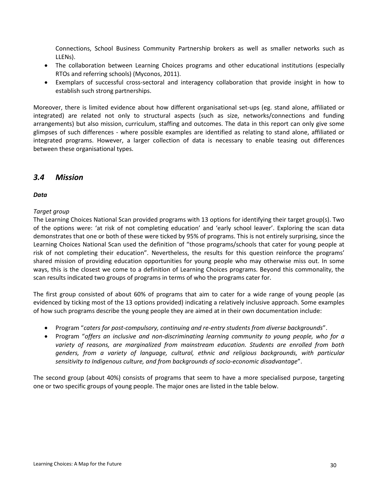Connections, School Business Community Partnership brokers as well as smaller networks such as LLENs).

- The collaboration between Learning Choices programs and other educational institutions (especially RTOs and referring schools) (Myconos, 2011).
- Exemplars of successful cross-sectoral and interagency collaboration that provide insight in how to establish such strong partnerships.

Moreover, there is limited evidence about how different organisational set-ups (eg. stand alone, affiliated or integrated) are related not only to structural aspects (such as size, networks/connections and funding arrangements) but also mission, curriculum, staffing and outcomes. The data in this report can only give some glimpses of such differences - where possible examples are identified as relating to stand alone, affiliated or integrated programs. However, a larger collection of data is necessary to enable teasing out differences between these organisational types.

# *3.4 Mission*

#### *Data*

#### *Target group*

The Learning Choices National Scan provided programs with 13 options for identifying their target group(s). Two of the options were: 'at risk of not completing education' and 'early school leaver'. Exploring the scan data demonstrates that one or both of these were ticked by 95% of programs. This is not entirely surprising, since the Learning Choices National Scan used the definition of "those programs/schools that cater for young people at risk of not completing their education". Nevertheless, the results for this question reinforce the programs' shared mission of providing education opportunities for young people who may otherwise miss out. In some ways, this is the closest we come to a definition of Learning Choices programs. Beyond this commonality, the scan results indicated two groups of programs in terms of who the programs cater for.

The first group consisted of about 60% of programs that aim to cater for a wide range of young people (as evidenced by ticking most of the 13 options provided) indicating a relatively inclusive approach. Some examples of how such programs describe the young people they are aimed at in their own documentation include:

- Program "*caters for post-compulsory, continuing and re-entry students from diverse backgrounds*".
- Program "*offers an inclusive and non-discriminating learning community to young people, who for a variety of reasons, are marginalized from mainstream education. Students are enrolled from both genders, from a variety of language, cultural, ethnic and religious backgrounds, with particular sensitivity to Indigenous culture, and from backgrounds of socio-economic disadvantage*".

The second group (about 40%) consists of programs that seem to have a more specialised purpose, targeting one or two specific groups of young people. The major ones are listed in the table below.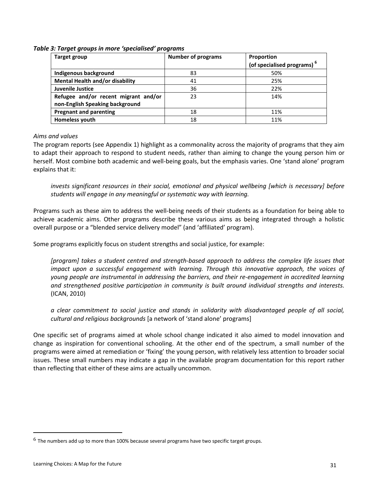| Target group                           | <b>Number of programs</b> | Proportion                             |
|----------------------------------------|---------------------------|----------------------------------------|
|                                        |                           | (of specialised programs) <sup>6</sup> |
| Indigenous background                  | 83                        | 50%                                    |
| <b>Mental Health and/or disability</b> | 41                        | 25%                                    |
| Juvenile Justice                       | 36                        | 22%                                    |
| Refugee and/or recent migrant and/or   | 23                        | 14%                                    |
| non-English Speaking background        |                           |                                        |
| <b>Pregnant and parenting</b>          | 18                        | 11%                                    |
| Homeless youth                         | 18                        | 11%                                    |

#### *Table 3: Target groups in more 'specialised' programs*

#### *Aims and values*

The program reports (see Appendix 1) highlight as a commonality across the majority of programs that they aim to adapt their approach to respond to student needs, rather than aiming to change the young person him or herself. Most combine both academic and well-being goals, but the emphasis varies. One 'stand alone' program explains that it:

*invests significant resources in their social, emotional and physical wellbeing [which is necessary] before students will engage in any meaningful or systematic way with learning.*

Programs such as these aim to address the well-being needs of their students as a foundation for being able to achieve academic aims. Other programs describe these various aims as being integrated through a holistic overall purpose or a "blended service delivery model" (and 'affiliated' program).

Some programs explicitly focus on student strengths and social justice, for example:

*[program] takes a student centred and strength-based approach to address the complex life issues that impact upon a successful engagement with learning. Through this innovative approach, the voices of young people are instrumental in addressing the barriers, and their re-engagement in accredited learning and strengthened positive participation in community is built around individual strengths and interests.*  (ICAN, 2010)

*a clear commitment to social justice and stands in solidarity with disadvantaged people of all social, cultural and religious backgrounds* [a network of 'stand alone' programs]

One specific set of programs aimed at whole school change indicated it also aimed to model innovation and change as inspiration for conventional schooling. At the other end of the spectrum, a small number of the programs were aimed at remediation or 'fixing' the young person, with relatively less attention to broader social issues. These small numbers may indicate a gap in the available program documentation for this report rather than reflecting that either of these aims are actually uncommon.

<span id="page-30-0"></span> $<sup>6</sup>$  The numbers add up to more than 100% because several programs have two specific target groups.</sup>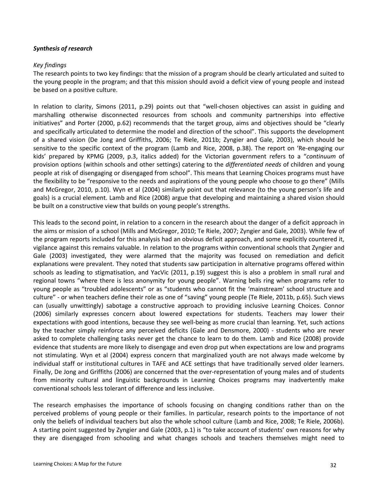#### *Synthesis of research*

#### *Key findings*

The research points to two key findings: that the mission of a program should be clearly articulated and suited to the young people in the program; and that this mission should avoid a deficit view of young people and instead be based on a positive culture.

In relation to clarity, Simons (2011, p.29) points out that "well-chosen objectives can assist in guiding and marshalling otherwise disconnected resources from schools and community partnerships into effective initiatives" and Porter (2000, p.62) recommends that the target group, aims and objectives should be "clearly and specifically articulated to determine the model and direction of the school". This supports the development of a shared vision (De Jong and Griffiths, 2006; Te Riele, 2011b; Zyngier and Gale, 2003), which should be sensitive to the specific context of the program (Lamb and Rice, 2008, p.38). The report on 'Re-engaging our kids' prepared by KPMG (2009, p.3, italics added) for the Victorian government refers to a "*continuum* of provision options (within schools and other settings) catering to the *differentiated needs* of children and young people at risk of disengaging or disengaged from school". This means that Learning Choices programs must have the flexibility to be "responsive to the needs and aspirations of the young people who choose to go there" (Mills and McGregor, 2010, p.10). Wyn et al (2004) similarly point out that relevance (to the young person's life and goals) is a crucial element. Lamb and Rice (2008) argue that developing and maintaining a shared vision should be built on a constructive view that builds on young people's strengths.

This leads to the second point, in relation to a concern in the research about the danger of a deficit approach in the aims or mission of a school (Mills and McGregor, 2010; Te Riele, 2007; Zyngier and Gale, 2003). While few of the program reports included for this analysis had an obvious deficit approach, and some explicitly countered it, vigilance against this remains valuable. In relation to the programs within conventional schools that Zyngier and Gale (2003) investigated, they were alarmed that the majority was focused on remediation and deficit explanations were prevalent. They noted that students saw participation in alternative programs offered within schools as leading to stigmatisation, and YacVic (2011, p.19) suggest this is also a problem in small rural and regional towns "where there is less anonymity for young people". Warning bells ring when programs refer to young people as "troubled adolescents" or as "students who cannot fit the 'mainstream' school structure and culture" - or when teachers define their role as one of "saving" young people (Te Riele, 2011b, p.65). Such views can (usually unwittingly) sabotage a constructive approach to providing inclusive Learning Choices. Connor (2006) similarly expresses concern about lowered expectations for students. Teachers may lower their expectations with good intentions, because they see well-being as more crucial than learning. Yet, such actions by the teacher simply reinforce any perceived deficits (Gale and Densmore, 2000) - students who are never asked to complete challenging tasks never get the chance to learn to do them. Lamb and Rice (2008) provide evidence that students are more likely to disengage and even drop put when expectations are low and programs not stimulating. Wyn et al (2004) express concern that marginalized youth are not always made welcome by individual staff or institutional cultures in TAFE and ACE settings that have traditionally served older learners. Finally, De Jong and Griffiths (2006) are concerned that the over-representation of young males and of students from minority cultural and linguistic backgrounds in Learning Choices programs may inadvertently make conventional schools less tolerant of difference and less inclusive.

The research emphasises the importance of schools focusing on changing conditions rather than on the perceived problems of young people or their families. In particular, research points to the importance of not only the beliefs of individual teachers but also the whole school culture (Lamb and Rice, 2008; Te Riele, 2006b). A starting point suggested by Zyngier and Gale (2003, p.1) is "to take account of students' own reasons for why they are disengaged from schooling and what changes schools and teachers themselves might need to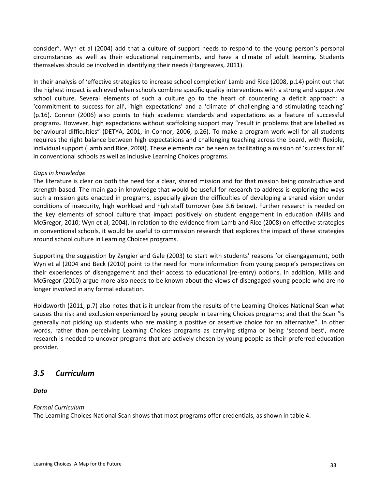consider". Wyn et al (2004) add that a culture of support needs to respond to the young person's personal circumstances as well as their educational requirements, and have a climate of adult learning. Students themselves should be involved in identifying their needs (Hargreaves, 2011).

In their analysis of 'effective strategies to increase school completion' Lamb and Rice (2008, p.14) point out that the highest impact is achieved when schools combine specific quality interventions with a strong and supportive school culture. Several elements of such a culture go to the heart of countering a deficit approach: a 'commitment to success for all', 'high expectations' and a 'climate of challenging and stimulating teaching' (p.16). Connor (2006) also points to high academic standards and expectations as a feature of successful programs. However, high expectations without scaffolding support may "result in problems that are labelled as behavioural difficulties" (DETYA, 2001, in Connor, 2006, p.26). To make a program work well for all students requires the right balance between high expectations and challenging teaching across the board, with flexible, individual support (Lamb and Rice, 2008). These elements can be seen as facilitating a mission of 'success for all' in conventional schools as well as inclusive Learning Choices programs.

#### *Gaps in knowledge*

The literature is clear on both the need for a clear, shared mission and for that mission being constructive and strength-based. The main gap in knowledge that would be useful for research to address is exploring the ways such a mission gets enacted in programs, especially given the difficulties of developing a shared vision under conditions of insecurity, high workload and high staff turnover (see 3.6 below). Further research is needed on the key elements of school culture that impact positively on student engagement in education (Mills and McGregor, 2010; Wyn et al, 2004). In relation to the evidence from Lamb and Rice (2008) on effective strategies in conventional schools, it would be useful to commission research that explores the impact of these strategies around school culture in Learning Choices programs.

Supporting the suggestion by Zyngier and Gale (2003) to start with students' reasons for disengagement, both Wyn et al (2004 and Beck (2010) point to the need for more information from young people's perspectives on their experiences of disengagement and their access to educational (re-entry) options. In addition, Mills and McGregor (2010) argue more also needs to be known about the views of disengaged young people who are no longer involved in any formal education.

Holdsworth (2011, p.7) also notes that is it unclear from the results of the Learning Choices National Scan what causes the risk and exclusion experienced by young people in Learning Choices programs; and that the Scan "is generally not picking up students who are making a positive or assertive choice for an alternative". In other words, rather than perceiving Learning Choices programs as carrying stigma or being 'second best', more research is needed to uncover programs that are actively chosen by young people as their preferred education provider.

# *3.5 Curriculum*

#### *Data*

#### *Formal Curriculum*

The Learning Choices National Scan shows that most programs offer credentials, as shown in table 4.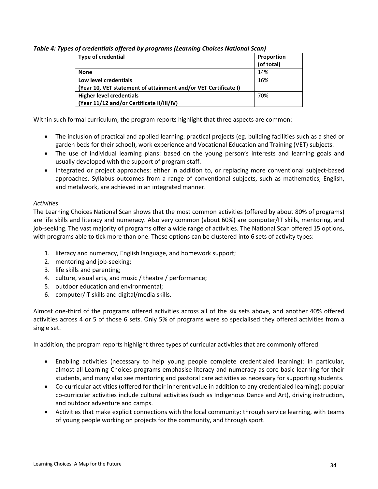*Table 4: Types of credentials offered by programs (Learning Choices National Scan)*

| Type of credential                                              | Proportion |
|-----------------------------------------------------------------|------------|
|                                                                 | (of total) |
| <b>None</b>                                                     | 14%        |
| Low level credentials                                           | 16%        |
| (Year 10, VET statement of attainment and/or VET Certificate I) |            |
| <b>Higher level credentials</b>                                 | 70%        |
| (Year 11/12 and/or Certificate II/III/IV)                       |            |

Within such formal curriculum, the program reports highlight that three aspects are common:

- The inclusion of practical and applied learning: practical projects (eg. building facilities such as a shed or garden beds for their school), work experience and Vocational Education and Training (VET) subjects.
- The use of individual learning plans: based on the young person's interests and learning goals and usually developed with the support of program staff.
- Integrated or project approaches: either in addition to, or replacing more conventional subject-based approaches. Syllabus outcomes from a range of conventional subjects, such as mathematics, English, and metalwork, are achieved in an integrated manner.

# *Activities*

The Learning Choices National Scan shows that the most common activities (offered by about 80% of programs) are life skills and literacy and numeracy. Also very common (about 60%) are computer/IT skills, mentoring, and job-seeking. The vast majority of programs offer a wide range of activities. The National Scan offered 15 options, with programs able to tick more than one. These options can be clustered into 6 sets of activity types:

- 1. literacy and numeracy, English language, and homework support;
- 2. mentoring and job-seeking;
- 3. life skills and parenting;
- 4. culture, visual arts, and music / theatre / performance;
- 5. outdoor education and environmental;
- 6. computer/IT skills and digital/media skills.

Almost one-third of the programs offered activities across all of the six sets above, and another 40% offered activities across 4 or 5 of those 6 sets. Only 5% of programs were so specialised they offered activities from a single set.

In addition, the program reports highlight three types of curricular activities that are commonly offered:

- Enabling activities (necessary to help young people complete credentialed learning): in particular, almost all Learning Choices programs emphasise literacy and numeracy as core basic learning for their students, and many also see mentoring and pastoral care activities as necessary for supporting students.
- Co-curricular activities (offered for their inherent value in addition to any credentialed learning): popular co-curricular activities include cultural activities (such as Indigenous Dance and Art), driving instruction, and outdoor adventure and camps.
- Activities that make explicit connections with the local community: through service learning, with teams of young people working on projects for the community, and through sport.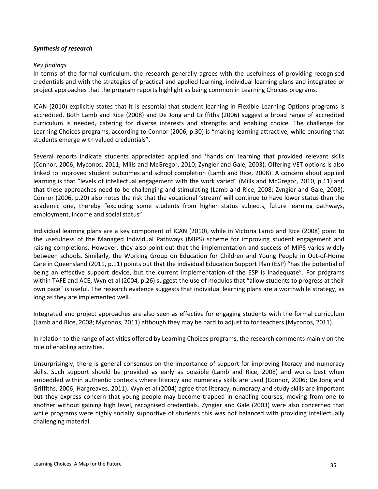#### *Synthesis of research*

#### *Key findings*

In terms of the formal curriculum, the research generally agrees with the usefulness of providing recognised credentials and with the strategies of practical and applied learning, individual learning plans and integrated or project approaches that the program reports highlight as being common in Learning Choices programs.

ICAN (2010) explicitly states that it is essential that student learning in Flexible Learning Options programs is accredited. Both Lamb and Rice (2008) and De Jong and Griffiths (2006) suggest a broad range of accredited curriculum is needed, catering for diverse interests and strengths and enabling choice. The challenge for Learning Choices programs, according to Connor (2006, p.30) is "making learning attractive, while ensuring that students emerge with valued credentials".

Several reports indicate students appreciated applied and 'hands on' learning that provided relevant skills (Connor, 2006; Myconos, 2011; Mills and McGregor, 2010; Zyngier and Gale, 2003). Offering VET options is also linked to improved student outcomes and school completion (Lamb and Rice, 2008). A concern about applied learning is that "levels of intellectual engagement with the work varied" (Mills and McGregor, 2010, p.11) and that these approaches need to be challenging and stimulating (Lamb and Rice, 2008; Zyngier and Gale, 2003). Connor (2006, p.20) also notes the risk that the vocational 'stream' will continue to have lower status than the academic one, thereby "excluding some students from higher status subjects, future learning pathways, employment, income and social status".

Individual learning plans are a key component of ICAN (2010), while in Victoria Lamb and Rice (2008) point to the usefulness of the Managed Individual Pathways (MIPS) scheme for improving student engagement and raising completions. However, they also point out that the implementation and success of MIPS varies widely between schools. Similarly, the Working Group on Education for Children and Young People in Out-of-Home Care in Queensland (2011, p.11) points out that the individual Education Support Plan (ESP) "has the potential of being an effective support device, but the current implementation of the ESP is inadequate". For programs within TAFE and ACE, Wyn et al (2004, p.26) suggest the use of modules that "allow students to progress at their own pace" is useful. The research evidence suggests that individual learning plans are a worthwhile strategy, as long as they are implemented well.

Integrated and project approaches are also seen as effective for engaging students with the formal curriculum (Lamb and Rice, 2008; Myconos, 2011) although they may be hard to adjust to for teachers (Myconos, 2011).

In relation to the range of activities offered by Learning Choices programs, the research comments mainly on the role of enabling activities.

Unsurprisingly, there is general consensus on the importance of support for improving literacy and numeracy skills. Such support should be provided as early as possible (Lamb and Rice, 2008) and works best when embedded within authentic contexts where literacy and numeracy skills are used (Connor, 2006; De Jong and Griffiths, 2006; Hargreaves, 2011). Wyn et al (2004) agree that literacy, numeracy and study skills are important but they express concern that young people may become trapped in enabling courses, moving from one to another without gaining high level, recognised credentials. Zyngier and Gale (2003) were also concerned that while programs were highly socially supportive of students this was not balanced with providing intellectually challenging material.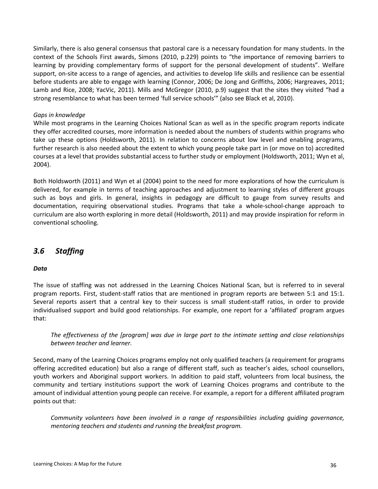Similarly, there is also general consensus that pastoral care is a necessary foundation for many students. In the context of the Schools First awards, Simons (2010, p.229) points to "the importance of removing barriers to learning by providing complementary forms of support for the personal development of students". Welfare support, on-site access to a range of agencies, and activities to develop life skills and resilience can be essential before students are able to engage with learning (Connor, 2006; De Jong and Griffiths, 2006; Hargreaves, 2011; Lamb and Rice, 2008; YacVic, 2011). Mills and McGregor (2010, p.9) suggest that the sites they visited "had a strong resemblance to what has been termed 'full service schools'" (also see Black et al, 2010).

#### *Gaps in knowledge*

While most programs in the Learning Choices National Scan as well as in the specific program reports indicate they offer accredited courses, more information is needed about the numbers of students within programs who take up these options (Holdsworth, 2011). In relation to concerns about low level and enabling programs, further research is also needed about the extent to which young people take part in (or move on to) accredited courses at a level that provides substantial access to further study or employment (Holdsworth, 2011; Wyn et al, 2004).

Both Holdsworth (2011) and Wyn et al (2004) point to the need for more explorations of how the curriculum is delivered, for example in terms of teaching approaches and adjustment to learning styles of different groups such as boys and girls. In general, insights in pedagogy are difficult to gauge from survey results and documentation, requiring observational studies. Programs that take a whole-school-change approach to curriculum are also worth exploring in more detail (Holdsworth, 2011) and may provide inspiration for reform in conventional schooling.

# *3.6 Staffing*

#### *Data*

The issue of staffing was not addressed in the Learning Choices National Scan, but is referred to in several program reports. First, student-staff ratios that are mentioned in program reports are between 5:1 and 15:1. Several reports assert that a central key to their success is small student-staff ratios, in order to provide individualised support and build good relationships. For example, one report for a 'affiliated' program argues that:

*The effectiveness of the [program] was due in large part to the intimate setting and close relationships between teacher and learner.*

Second, many of the Learning Choices programs employ not only qualified teachers (a requirement for programs offering accredited education) but also a range of different staff, such as teacher's aides, school counsellors, youth workers and Aboriginal support workers. In addition to paid staff, volunteers from local business, the community and tertiary institutions support the work of Learning Choices programs and contribute to the amount of individual attention young people can receive. For example, a report for a different affiliated program points out that:

*Community volunteers have been involved in a range of responsibilities including guiding governance, mentoring teachers and students and running the breakfast program.*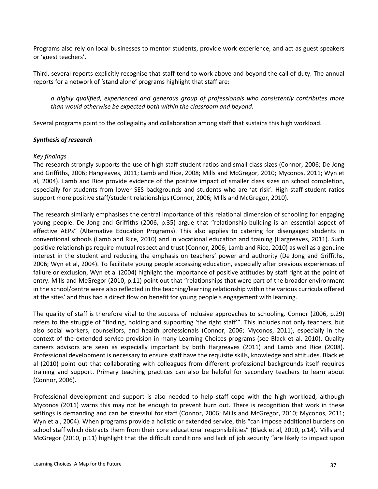Programs also rely on local businesses to mentor students, provide work experience, and act as guest speakers or 'guest teachers'.

Third, several reports explicitly recognise that staff tend to work above and beyond the call of duty. The annual reports for a network of 'stand alone' programs highlight that staff are:

*a highly qualified, experienced and generous group of professionals who consistently contributes more than would otherwise be expected both within the classroom and beyond.*

Several programs point to the collegiality and collaboration among staff that sustains this high workload.

#### *Synthesis of research*

#### *Key findings*

The research strongly supports the use of high staff-student ratios and small class sizes (Connor, 2006; De Jong and Griffiths, 2006; Hargreaves, 2011; Lamb and Rice, 2008; Mills and McGregor, 2010; Myconos, 2011; Wyn et al, 2004). Lamb and Rice provide evidence of the positive impact of smaller class sizes on school completion, especially for students from lower SES backgrounds and students who are 'at risk'. High staff-student ratios support more positive staff/student relationships (Connor, 2006; Mills and McGregor, 2010).

The research similarly emphasises the central importance of this relational dimension of schooling for engaging young people. De Jong and Griffiths (2006, p.35) argue that "relationship-building is an essential aspect of effective AEPs" (Alternative Education Programs). This also applies to catering for disengaged students in conventional schools (Lamb and Rice, 2010) and in vocational education and training (Hargreaves, 2011). Such positive relationships require mutual respect and trust (Connor, 2006; Lamb and Rice, 2010) as well as a genuine interest in the student and reducing the emphasis on teachers' power and authority (De Jong and Griffiths, 2006; Wyn et al, 2004). To facilitate young people accessing education, especially after previous experiences of failure or exclusion, Wyn et al (2004) highlight the importance of positive attitudes by staff right at the point of entry. Mills and McGregor (2010, p.11) point out that "relationships that were part of the broader environment in the school/centre were also reflected in the teaching/learning relationship within the various curricula offered at the sites' and thus had a direct flow on benefit for young people's engagement with learning.

The quality of staff is therefore vital to the success of inclusive approaches to schooling. Connor (2006, p.29) refers to the struggle of "finding, holding and supporting 'the right staff'". This includes not only teachers, but also social workers, counsellors, and health professionals (Connor, 2006; Myconos, 2011), especially in the context of the extended service provision in many Learning Choices programs (see Black et al, 2010). Quality careers advisors are seen as especially important by both Hargreaves (2011) and Lamb and Rice (2008). Professional development is necessary to ensure staff have the requisite skills, knowledge and attitudes. Black et al (2010) point out that collaborating with colleagues from different professional backgrounds itself requires training and support. Primary teaching practices can also be helpful for secondary teachers to learn about (Connor, 2006).

Professional development and support is also needed to help staff cope with the high workload, although Myconos (2011) warns this may not be enough to prevent burn out. There is recognition that work in these settings is demanding and can be stressful for staff (Connor, 2006; Mills and McGregor, 2010; Myconos, 2011; Wyn et al, 2004). When programs provide a holistic or extended service, this "can impose additional burdens on school staff which distracts them from their core educational responsibilities" (Black et al, 2010, p.14). Mills and McGregor (2010, p.11) highlight that the difficult conditions and lack of job security "are likely to impact upon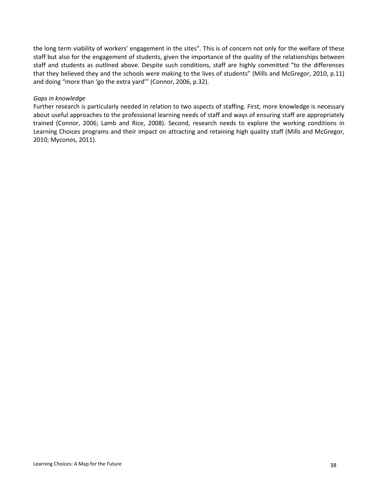the long term viability of workers' engagement in the sites". This is of concern not only for the welfare of these staff but also for the engagement of students, given the importance of the quality of the relationships between staff and students as outlined above. Despite such conditions, staff are highly committed "to the differences that they believed they and the schools were making to the lives of students" (Mills and McGregor, 2010, p.11) and doing "more than 'go the extra yard'" (Connor, 2006, p.32).

#### *Gaps in knowledge*

Further research is particularly needed in relation to two aspects of staffing. First, more knowledge is necessary about useful approaches to the professional learning needs of staff and ways of ensuring staff are appropriately trained (Connor, 2006; Lamb and Rice, 2008). Second, research needs to explore the working conditions in Learning Choices programs and their impact on attracting and retaining high quality staff (Mills and McGregor, 2010; Myconos, 2011).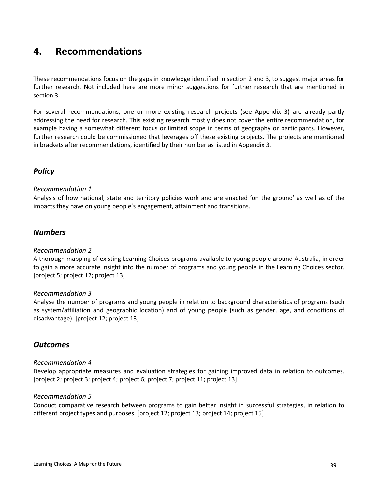# **4. Recommendations**

These recommendations focus on the gaps in knowledge identified in section 2 and 3, to suggest major areas for further research. Not included here are more minor suggestions for further research that are mentioned in section 3.

For several recommendations, one or more existing research projects (see Appendix 3) are already partly addressing the need for research. This existing research mostly does not cover the entire recommendation, for example having a somewhat different focus or limited scope in terms of geography or participants. However, further research could be commissioned that leverages off these existing projects. The projects are mentioned in brackets after recommendations, identified by their number as listed in Appendix 3.

# *Policy*

#### *Recommendation 1*

Analysis of how national, state and territory policies work and are enacted 'on the ground' as well as of the impacts they have on young people's engagement, attainment and transitions.

# *Numbers*

#### *Recommendation 2*

A thorough mapping of existing Learning Choices programs available to young people around Australia, in order to gain a more accurate insight into the number of programs and young people in the Learning Choices sector. [project 5; project 12; project 13]

# *Recommendation 3*

Analyse the number of programs and young people in relation to background characteristics of programs (such as system/affiliation and geographic location) and of young people (such as gender, age, and conditions of disadvantage). [project 12; project 13]

# *Outcomes*

#### *Recommendation 4*

Develop appropriate measures and evaluation strategies for gaining improved data in relation to outcomes. [project 2; project 3; project 4; project 6; project 7; project 11; project 13]

#### *Recommendation 5*

Conduct comparative research between programs to gain better insight in successful strategies, in relation to different project types and purposes. [project 12; project 13; project 14; project 15]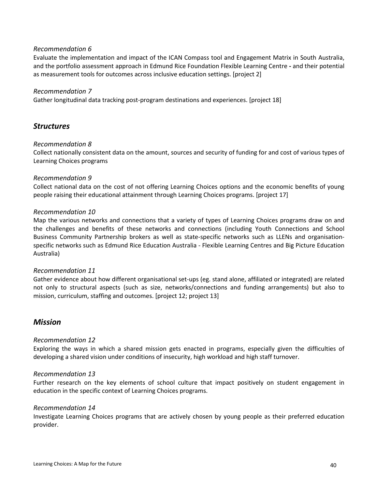#### *Recommendation 6*

Evaluate the implementation and impact of the ICAN Compass tool and Engagement Matrix in South Australia, and the portfolio assessment approach in Edmund Rice Foundation Flexible Learning Centre **-** and their potential as measurement tools for outcomes across inclusive education settings. [project 2]

#### *Recommendation 7*

Gather longitudinal data tracking post-program destinations and experiences. [project 18]

# *Structures*

#### *Recommendation 8*

Collect nationally consistent data on the amount, sources and security of funding for and cost of various types of Learning Choices programs

#### *Recommendation 9*

Collect national data on the cost of not offering Learning Choices options and the economic benefits of young people raising their educational attainment through Learning Choices programs. [project 17]

#### *Recommendation 10*

Map the various networks and connections that a variety of types of Learning Choices programs draw on and the challenges and benefits of these networks and connections (including Youth Connections and School Business Community Partnership brokers as well as state-specific networks such as LLENs and organisationspecific networks such as Edmund Rice Education Australia - Flexible Learning Centres and Big Picture Education Australia)

#### *Recommendation 11*

Gather evidence about how different organisational set-ups (eg. stand alone, affiliated or integrated) are related not only to structural aspects (such as size, networks/connections and funding arrangements) but also to mission, curriculum, staffing and outcomes. [project 12; project 13]

# *Mission*

#### *Recommendation 12*

Exploring the ways in which a shared mission gets enacted in programs, especially given the difficulties of developing a shared vision under conditions of insecurity, high workload and high staff turnover.

#### *Recommendation 13*

Further research on the key elements of school culture that impact positively on student engagement in education in the specific context of Learning Choices programs.

#### *Recommendation 14*

Investigate Learning Choices programs that are actively chosen by young people as their preferred education provider.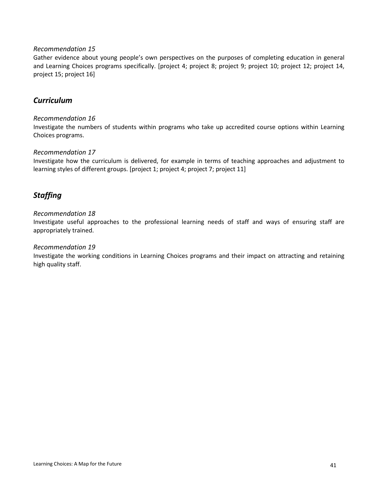#### *Recommendation 15*

Gather evidence about young people's own perspectives on the purposes of completing education in general and Learning Choices programs specifically. [project 4; project 8; project 9; project 10; project 12; project 14, project 15; project 16]

# *Curriculum*

#### *Recommendation 16*

Investigate the numbers of students within programs who take up accredited course options within Learning Choices programs.

#### *Recommendation 17*

Investigate how the curriculum is delivered, for example in terms of teaching approaches and adjustment to learning styles of different groups. [project 1; project 4; project 7; project 11]

# *Staffing*

#### *Recommendation 18*

Investigate useful approaches to the professional learning needs of staff and ways of ensuring staff are appropriately trained.

#### *Recommendation 19*

Investigate the working conditions in Learning Choices programs and their impact on attracting and retaining high quality staff.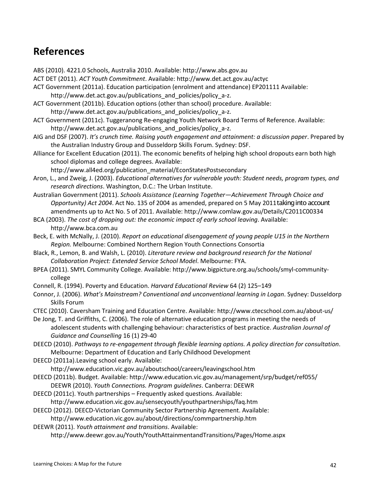# **References**

ABS (2010). 4221.0 Schools, Australia 2010. Available: http://www.abs.gov.au

- ACT DET (2011). *ACT Youth Commitment*. Available: http://www.det.act.gov.au/actyc
- ACT Government (2011a). Education participation (enrolment and attendance) EP201111 Available: http://www.det.act.gov.au/publications and policies/policy a-z.

ACT Government (2011b). Education options (other than school) procedure. Available: http://www.det.act.gov.au/publications and policies/policy a-z.

ACT Government (2011c). Tuggeranong Re-engaging Youth Network Board Terms of Reference. Available: http://www.det.act.gov.au/publications\_and\_policies/policy\_a-z.

AIG and DSF (2007). *It's crunch time. Raising youth engagement and attainment: a discussion paper*. Prepared by the Australian Industry Group and Dusseldorp Skills Forum. Sydney: DSF.

Alliance for Excellent Education (2011). The economic benefits of helping high school dropouts earn both high school diplomas and college degrees. Available:

http://www.all4ed.org/publication\_material/EconStatesPostsecondary

Aron, L., and Zweig, J. (2003). *Educational alternatives for vulnerable youth: Student needs, program types, and research directions*. Washington, D.C.: The Urban Institute.

Australian Government (2011). *Schools Assistance (Learning Together—Achievement Through Choice and Opportunity) Act 2004*. Act No. 135 of 2004 as amended, prepared on 5 May 2011taking into account amendments up to Act No. 5 of 2011. Available: http://www.comlaw.gov.au/Details/C2011C00334

BCA (2003). *The cost of dropping out: the economic impact of early school leaving*. Available: http://www.bca.com.au

- Beck, E. with McNally, J. (2010). *Report on educational disengagement of young people U15 in the Northern Region.* Melbourne: Combined Northern Region Youth Connections Consortia
- Black, R., Lemon, B. and Walsh, L. (2010). *Literature review and background research for the National Collaboration Project: Extended Service School Model*. Melbourne: FYA.
- BPEA (2011). SMYL Community College. Available: http://www.bigpicture.org.au/schools/smyl-communitycollege
- Connell, R. (1994). Poverty and Education. *Harvard Educational Review* 64 (2) 125–149
- Connor, J. (2006). *What's Mainstream? Conventional and unconventional learning in Logan*. Sydney: Dusseldorp Skills Forum
- CTEC (2010). Caversham Training and Education Centre. Available: http://www.ctecschool.com.au/about-us/

De Jong, T. and Griffiths, C. (2006). The role of alternative education programs in meeting the needs of adolescent students with challenging behaviour: characteristics of best practice. *Australian Journal of Guidance and Counselling* 16 (1) 29-40

DEECD (2010). *Pathways to re-engagement through flexible learning options. A policy direction for consultation*. Melbourne: Department of Education and Early Childhood Development

- DEECD (2011a).Leaving school early. Available:
	- http://www.education.vic.gov.au/aboutschool/careers/leavingschool.htm
- DEECD (2011b). Budget. Available: http://www.education.vic.gov.au/management/srp/budget/ref055/ DEEWR (2010). *Youth Connections. Program guidelines*. Canberra: DEEWR
- DEECD (2011c). Youth partnerships Frequently asked questions. Available:

http://www.education.vic.gov.au/sensecyouth/youthpartnerships/faq.htm

DEECD (2012). DEECD-Victorian Community Sector Partnership Agreement. Available:

http://www.education.vic.gov.au/about/directions/commpartnership.htm

DEEWR (2011). *Youth attainment and transitions*. Available:

http://www.deewr.gov.au/Youth/YouthAttainmentandTransitions/Pages/Home.aspx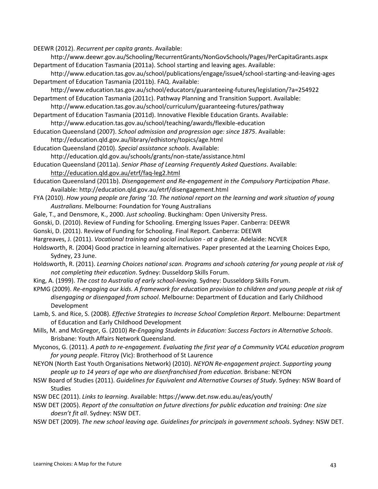DEEWR (2012). *Recurrent per capita grants*. Available:

http://www.deewr.gov.au/Schooling/RecurrentGrants/NonGovSchools/Pages/PerCapitaGrants.aspx Department of Education Tasmania (2011a). School starting and leaving ages. Available:

http://www.education.tas.gov.au/school/publications/engage/issue4/school-starting-and-leaving-ages Department of Education Tasmania (2011b). FAQ. Available:

http://www.education.tas.gov.au/school/educators/guaranteeing-futures/legislation/?a=254922 Department of Education Tasmania (2011c). Pathway Planning and Transition Support. Available:

http://www.education.tas.gov.au/school/curriculum/guaranteeing-futures/pathway

Department of Education Tasmania (2011d). Innovative Flexible Education Grants. Available: http://www.education.tas.gov.au/school/teaching/awards/flexible-education

Education Queensland (2007). *School admission and progression age: since 1875*. Available:

http://education.qld.gov.au/library/edhistory/topics/age.html

Education Queensland (2010). *Special assistance schools*. Available:

http://education.qld.gov.au/schools/grants/non-state/assistance.html

Education Queensland (2011a). *Senior Phase of Learning Frequently Asked Questions*. Available:

<http://education.qld.gov.au/etrf/faq-leg2.html>

- Education Queensland (2011b). *Disengagement and Re-engagement in the Compulsory Participation Phase*. Available: http://education.qld.gov.au/etrf/disengagement.html
- FYA (2010). *How young people are faring '10. The national report on the learning and work situation of young Australians*. Melbourne: Foundation for Young Australians

Gale, T., and Densmore, K., 2000. *Just schooling*. Buckingham: Open University Press.

Gonski, D. (2010). Review of Funding for Schooling. Emerging Issues Paper. Canberra: DEEWR

Gonski, D. (2011). Review of Funding for Schooling. Final Report. Canberra: DEEWR

- Hargreaves, J. (2011). *Vocational training and social inclusion - at a glance*. Adelaide: NCVER
- Holdsworth, R. (2004) Good practice in learning alternatives. Paper presented at the Learning Choices Expo, Sydney, 23 June.
- Holdsworth, R. (2011). *Learning Choices national scan. Programs and schools catering for young people at risk of not completing their education*. Sydney: Dusseldorp Skills Forum.
- King, A. (1999). *The cost to Australia of early school-leaving.* Sydney: Dusseldorp Skills Forum.
- KPMG (2009). *Re-engaging our kids. A framework for education provision to children and young people at risk of disengaging or disengaged from school*. Melbourne: Department of Education and Early Childhood Development
- Lamb, S. and Rice, S. (2008). *Effective Strategies to Increase School Completion Report*. Melbourne: Department of Education and Early Childhood Development

Mills, M. and McGregor, G. (2010) *Re-Engaging Students in Education: Success Factors in Alternative Schools*. Brisbane: Youth Affairs Network Queensland.

Myconos, G. (2011). *A path to re-engagement. Evaluating the first year of a Community VCAL education program for young people*. Fitzroy (Vic): Brotherhood of St Laurence

NEYON (North East Youth Organisations Network) (2010). *NEYON Re-engagement project. Supporting young people up to 14 years of age who are disenfranchised from education*. Brisbane: NEYON

- NSW Board of Studies (2011). *Guidelines for Equivalent and Alternative Courses of Study*. Sydney: NSW Board of Studies
- NSW DEC (2011). *Links to learning*. Available: https://www.det.nsw.edu.au/eas/youth/
- NSW DET (2005). *Report of the consultation on future directions for public education and training: One size doesn't fit all*. Sydney: NSW DET.
- NSW DET (2009). *The new school leaving age. Guidelines for principals in government schools*. Sydney: NSW DET.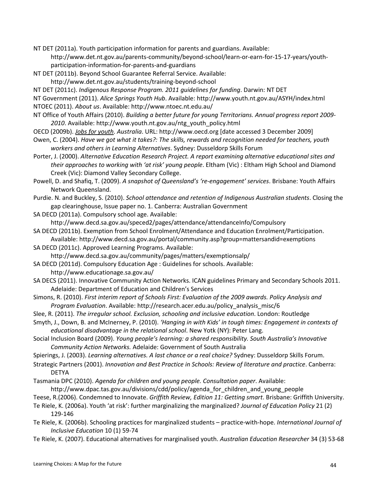NT DET (2011a). Youth participation information for parents and guardians. Available:

http://www.det.nt.gov.au/parents-community/beyond-school/learn-or-earn-for-15-17-years/youthparticipation-information-for-parents-and-guardians

NT DET (2011b). Beyond School Guarantee Referral Service. Available:

http://www.det.nt.gov.au/students/training-beyond-school

NT DET (2011c). *Indigenous Response Program. 2011 guidelines for funding*. Darwin: NT DET

NT Government (2011). *Alice Springs Youth Hub*. Available: http://www.youth.nt.gov.au/ASYH/index.html NTOEC (2011). *About us*. Available: http://www.ntoec.nt.edu.au/

- NT Office of Youth Affairs (2010). *Building a better future for young Territorians. Annual progress report 2009- 2010*. Available: http://www.youth.nt.gov.au/ntg\_youth\_policy.html
- OECD (2009b). *Jobs for youth*. *Australia*. URL: http://www.oecd.org [date accessed 3 December 2009]

Owen, C. (2004). *Have we got what it takes?: The skills, rewards and recognition needed for teachers, youth workers and others in Learning Alternatives*. Sydney: Dusseldorp Skills Forum

Porter, J. (2000). *Alternative Education Research Project. A report examining alternative educational sites and their approaches to working with 'at risk' young people*. Eltham (Vic) : Eltham High School and Diamond Creek (Vic): Diamond Valley Secondary College.

Powell, D. and Shafiq, T. (2009). *A snapshot of Queensland's 're-engagement' services*. Brisbane: Youth Affairs Network Queensland.

Purdie. N. and Buckley, S. (2010). *School attendance and retention of Indigenous Australian students*. Closing the gap clearinghouse, Issue paper no. 1. Canberra: Australian Government

- SA DECD (2011a). Compulsory school age. Available:
	- http://www.decd.sa.gov.au/speced2/pages/attendance/attendanceInfo/Compulsory
- SA DECD (2011b). Exemption from School Enrolment/Attendance and Education Enrolment/Participation. Available: http://www.decd.sa.gov.au/portal/community.asp?group=mattersandid=exemptions
- SA DECD (2011c). Approved Learning Programs. Available:

http://www.decd.sa.gov.au/community/pages/matters/exemptionsalp/

- SA DECD (2011d). Compulsory Education Age : Guidelines for schools. Available: http://www.educationage.sa.gov.au/
- SA DECS (2011). Innovative Community Action Networks. ICAN guidelines Primary and Secondary Schools 2011. Adelaide: Department of Education and Children's Services
- Simons, R. (2010). *First interim report of Schools First: Evaluation of the 2009 awards. Policy Analysis and Program Evaluation*. Available: http://research.acer.edu.au/policy\_analysis\_misc/6
- Slee, R. (2011). *The irregular school. Exclusion, schooling and inclusive education*. London: Routledge

Smyth, J., Down, B. and McInerney, P. (2010). *'Hanging in with Kids' in tough times: Engagement in contexts of educational disadvantage in the relational school*. New Yotk (NY): Peter Lang.

- Social Inclusion Board (2009). *Young people's learning: a shared responsibility. South Australia's Innovative Community Action Networks.* Adelaide: Government of South Australia
- Spierings, J. (2003). *Learning alternatives. A last chance or a real choice?* Sydney: Dusseldorp Skills Forum.
- Strategic Partners (2001). *Innovation and Best Practice in Schools: Review of literature and practice*. Canberra: DETYA
- Tasmania DPC (2010). *Agenda for children and young people. Consultation paper*. Available:

http://www.dpac.tas.gov.au/divisions/cdd/policy/agenda\_for\_children\_and\_young\_people

- Teese, R.(2006). Condemned to Innovate. *Griffith Review, Edition 11: Getting smart*. Brisbane: Griffith University.
- Te Riele, K. (2006a). Youth 'at risk': further marginalizing the marginalized? *Journal of Education Policy* 21 (2) 129-146
- Te Riele, K. (2006b). Schooling practices for marginalized students practice-with-hope. *International Journal of Inclusive Education* 10 (1) 59-74
- Te Riele, K. (2007). Educational alternatives for marginalised youth. *Australian Education Researcher* 34 (3) 53-68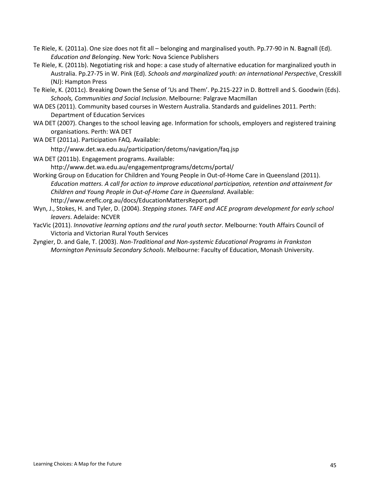- Te Riele, K. (2011a). One size does not fit all belonging and marginalised youth. Pp.77-90 in N. Bagnall (Ed). *Education and Belonging*. New York: Nova Science Publishers
- Te Riele, K. (2011b). Negotiating risk and hope: a case study of alternative education for marginalized youth in Australia. Pp.27-75 in W. Pink (Ed). *Schools and marginalized youth: an international Perspective*. Cresskill (NJ): Hampton Press
- Te Riele, K. (2011c). Breaking Down the Sense of 'Us and Them'. Pp.215-227 in D. Bottrell and S. Goodwin (Eds). *Schools, Communities and Social Inclusion*. Melbourne: Palgrave Macmillan
- WA DES (2011). Community based courses in Western Australia. Standards and guidelines 2011. Perth: Department of Education Services
- WA DET (2007). Changes to the school leaving age. Information for schools, employers and registered training organisations. Perth: WA DET
- WA DET (2011a). Participation FAQ. Available:

http://www.det.wa.edu.au/participation/detcms/navigation/faq.jsp

- WA DET (2011b). Engagement programs. Available: http://www.det.wa.edu.au/engagementprograms/detcms/portal/
- Working Group on Education for Children and Young People in Out-of-Home Care in Queensland (2011). *Education matters. A call for action to improve educational participation, retention and attainment for Children and Young People in Out-of-Home Care in Queensland*. Available: http://www.ereflc.org.au/docs/EducationMattersReport.pdf
- Wyn, J., Stokes, H. and Tyler, D. (2004). *Stepping stones. TAFE and ACE program development for early school leavers*. Adelaide: NCVER
- YacVic (2011). *Innovative learning options and the rural youth sector*. Melbourne: Youth Affairs Council of Victoria and Victorian Rural Youth Services
- Zyngier, D. and Gale, T. (2003). *Non-Traditional and Non-systemic Educational Programs in Frankston Mornington Peninsula Secondary Schools*. Melbourne: Faculty of Education, Monash University.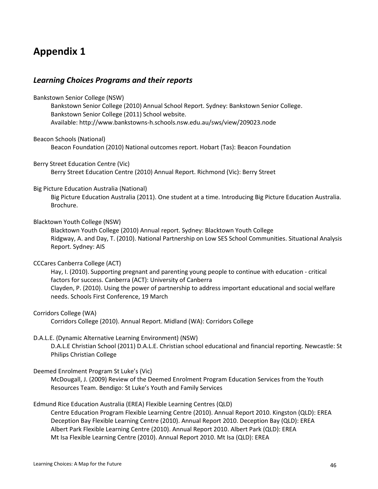# **Appendix 1**

# *Learning Choices Programs and their reports*

Bankstown Senior College (NSW) Bankstown Senior College (2010) Annual School Report. Sydney: Bankstown Senior College. Bankstown Senior College (2011) School website. Available: http://www.bankstowns-h.schools.nsw.edu.au/sws/view/209023.node

Beacon Schools (National)

Beacon Foundation (2010) National outcomes report. Hobart (Tas): Beacon Foundation

Berry Street Education Centre (Vic)

Berry Street Education Centre (2010) Annual Report. Richmond (Vic): Berry Street

#### Big Picture Education Australia (National)

Big Picture Education Australia (2011). One student at a time. Introducing Big Picture Education Australia. Brochure.

#### Blacktown Youth College (NSW)

Blacktown Youth College (2010) Annual report. Sydney: Blacktown Youth College Ridgway, A. and Day, T. (2010). National Partnership on Low SES School Communities. Situational Analysis Report. Sydney: AIS

#### CCCares Canberra College (ACT)

Hay, I. (2010). Supporting pregnant and parenting young people to continue with education - critical factors for success. Canberra (ACT): University of Canberra Clayden, P. (2010). Using the power of partnership to address important educational and social welfare needs. Schools First Conference, 19 March

#### Corridors College (WA)

Corridors College (2010). Annual Report. Midland (WA): Corridors College

#### D.A.L.E. (Dynamic Alternative Learning Environment) (NSW)

D.A.L.E Christian School (2011) D.A.L.E. Christian school educational and financial reporting. Newcastle: St Philips Christian College

#### Deemed Enrolment Program St Luke's (Vic)

McDougall, J. (2009) Review of the Deemed Enrolment Program Education Services from the Youth Resources Team. Bendigo: St Luke's Youth and Family Services

#### Edmund Rice Education Australia (EREA) Flexible Learning Centres (QLD)

Centre Education Program Flexible Learning Centre (2010). Annual Report 2010. Kingston (QLD): EREA Deception Bay Flexible Learning Centre (2010). Annual Report 2010. Deception Bay (QLD): EREA Albert Park Flexible Learning Centre (2010). Annual Report 2010. Albert Park (QLD): EREA Mt Isa Flexible Learning Centre (2010). Annual Report 2010. Mt Isa (QLD): EREA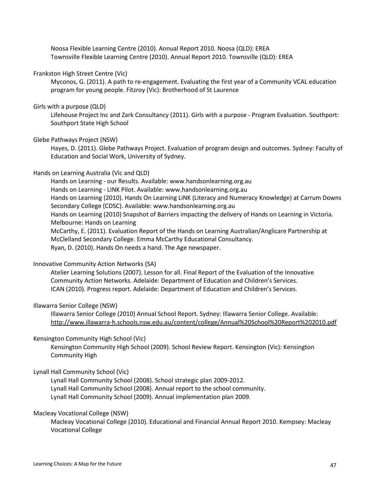Noosa Flexible Learning Centre (2010). Annual Report 2010. Noosa (QLD): EREA Townsville Flexible Learning Centre (2010). Annual Report 2010. Townsville (QLD): EREA

#### Frankston High Street Centre (Vic)

Myconos, G. (2011). A path to re-engagement. Evaluating the first year of a Community VCAL education program for young people. Fitzroy (Vic): Brotherhood of St Laurence

#### Girls with a purpose (QLD)

Lifehouse Project Inc and Zark Consultancy (2011). Girls with a purpose - Program Evaluation. Southport: Southport State High School

#### Glebe Pathways Project (NSW)

Hayes, D. (2011). Glebe Pathways Project. Evaluation of program design and outcomes. Sydney: Faculty of Education and Social Work, University of Sydney.

#### Hands on Learning Australia (Vic and QLD)

Hands on Learning - our Results. Available: www.handsonlearning.org.au Hands on Learning - LINK Pilot. Available: www.handsonlearning.org.au Hands on Learning (2010). Hands On Learning LiNK (Literacy and Numeracy Knowledge) at Carrum Downs Secondary College (CDSC). Available: www.handsonlearning.org.au Hands on Learning (2010) Snapshot of Barriers impacting the delivery of Hands on Learning in Victoria. Melbourne: Hands on Learning McCarthy, E. (2011). Evaluation Report of the Hands on Learning Australian/Anglicare Partnership at McClelland Secondary College. Emma McCarthy Educational Consultancy. Ryan, D. (2010). Hands On needs a hand. The Age newspaper.

#### Innovative Community Action Networks (SA)

Atelier Learning Solutions (2007). Lesson for all. Final Report of the Evaluation of the Innovative Community Action Networks. Adelaide: Department of Education and Children's Services. ICAN (2010). Progress report. Adelaide: Department of Education and Children's Services.

#### Illawarra Senior College (NSW)

Illawarra Senior College (2010) Annual School Report. Sydney: Illawarra Senior College. Available: <http://www.illawarra-h.schools.nsw.edu.au/content/college/Annual%20School%20Report%202010.pdf>

#### Kensington Community High School (Vic)

Kensington Community High School (2009). School Review Report. Kensington (Vic): Kensington Community High

#### Lynall Hall Community School (Vic)

Lynall Hall Community School (2008). School strategic plan 2009-2012. Lynall Hall Community School (2008). Annual report to the school community. Lynall Hall Community School (2009). Annual implementation plan 2009.

#### Macleay Vocational College (NSW)

Macleay Vocational College (2010). Educational and Financial Annual Report 2010. Kempsey: Macleay Vocational College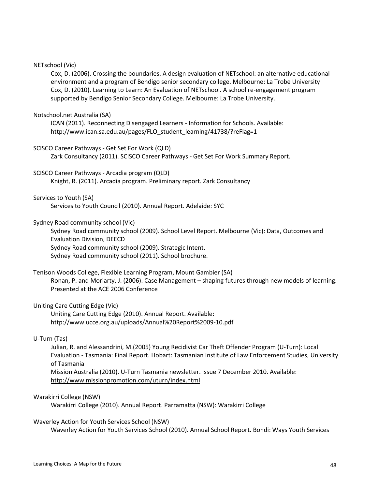#### NETschool (Vic)

Cox, D. (2006). Crossing the boundaries. A design evaluation of NETschool: an alternative educational environment and a program of Bendigo senior secondary college. Melbourne: La Trobe University Cox, D. (2010). Learning to Learn: An Evaluation of NETschool. A school re-engagement program supported by Bendigo Senior Secondary College. Melbourne: La Trobe University.

#### Notschool.net Australia (SA)

ICAN (2011). Reconnecting Disengaged Learners - Information for Schools. Available: http://www.ican.sa.edu.au/pages/FLO\_student\_learning/41738/?reFlag=1

#### SCISCO Career Pathways - Get Set For Work (QLD)

Zark Consultancy (2011). SCISCO Career Pathways - Get Set For Work Summary Report.

SCISCO Career Pathways - Arcadia program (QLD)

Knight, R. (2011). Arcadia program. Preliminary report. Zark Consultancy

#### Services to Youth (SA)

Services to Youth Council (2010). Annual Report. Adelaide: SYC

#### Sydney Road community school (Vic)

Sydney Road community school (2009). School Level Report. Melbourne (Vic): Data, Outcomes and Evaluation Division, DEECD Sydney Road community school (2009). Strategic Intent. Sydney Road community school (2011). School brochure.

# Tenison Woods College, Flexible Learning Program, Mount Gambier (SA)

Ronan, P. and Moriarty, J. (2006). Case Management – shaping futures through new models of learning. Presented at the ACE 2006 Conference

#### Uniting Care Cutting Edge (Vic)

Uniting Care Cutting Edge (2010). Annual Report. Available: http://www.ucce.org.au/uploads/Annual%20Report%2009-10.pdf

#### U-Turn (Tas)

Julian, R. and Alessandrini, M.(2005) [Young Recidivist Car Theft Offender Program \(U-Turn\): Local](http://www.utas.edu.au/tiles/publications_and_reports/research_reports/research_reports_pdf/UTurn__Local_Evaluation_Final_Report.pdf)  Evaluation - [Tasmania: Final Report. H](http://www.utas.edu.au/tiles/publications_and_reports/research_reports/research_reports_pdf/UTurn__Local_Evaluation_Final_Report.pdf)obart: Tasmanian Institute of Law Enforcement Studies, University of Tasmania

Mission Australia (2010). U-Turn Tasmania newsletter. Issue 7 December 2010. Available: <http://www.missionpromotion.com/uturn/index.html>

#### Warakirri College (NSW)

Warakirri College (2010). Annual Report. Parramatta (NSW): Warakirri College

Waverley Action for Youth Services School (NSW)

Waverley Action for Youth Services School (2010). Annual School Report. Bondi: Ways Youth Services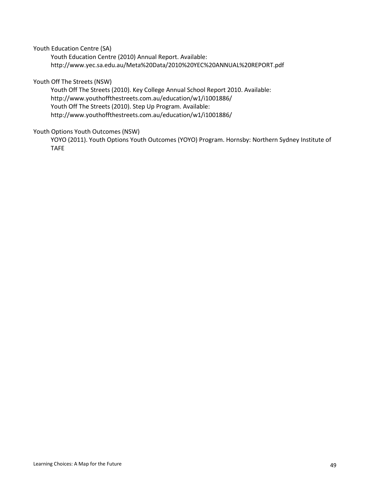Youth Education Centre (SA)

Youth Education Centre (2010) Annual Report. Available: http://www.yec.sa.edu.au/Meta%20Data/2010%20YEC%20ANNUAL%20REPORT.pdf

#### Youth Off The Streets (NSW)

Youth Off The Streets (2010). Key College Annual School Report 2010. Available: http://www.youthoffthestreets.com.au/education/w1/i1001886/ Youth Off The Streets (2010). Step Up Program. Available: http://www.youthoffthestreets.com.au/education/w1/i1001886/

#### Youth Options Youth Outcomes (NSW)

YOYO (2011). Youth Options Youth Outcomes (YOYO) Program. Hornsby: Northern Sydney Institute of TAFE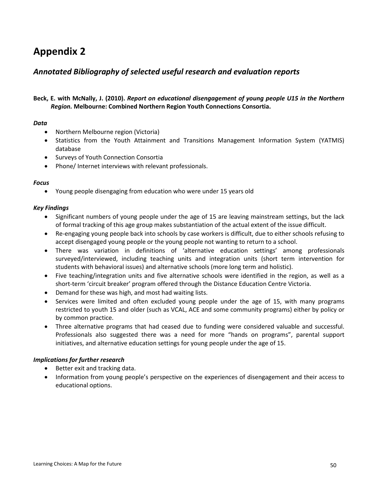# **Appendix 2**

# *Annotated Bibliography of selected useful research and evaluation reports*

# **Beck, E. with McNally, J. (2010).** *Report on educational disengagement of young people U15 in the Northern Region.* **Melbourne: Combined Northern Region Youth Connections Consortia.**

#### *Data*

- Northern Melbourne region (Victoria)
- Statistics from the Youth Attainment and Transitions Management Information System (YATMIS) database
- Surveys of Youth Connection Consortia
- Phone/ Internet interviews with relevant professionals.

#### *Focus*

• Young people disengaging from education who were under 15 years old

#### *Key Findings*

- Significant numbers of young people under the age of 15 are leaving mainstream settings, but the lack of formal tracking of this age group makes substantiation of the actual extent of the issue difficult.
- Re-engaging young people back into schools by case workers is difficult, due to either schools refusing to accept disengaged young people or the young people not wanting to return to a school.
- There was variation in definitions of 'alternative education settings' among professionals surveyed/interviewed, including teaching units and integration units (short term intervention for students with behavioral issues) and alternative schools (more long term and holistic).
- Five teaching/integration units and five alternative schools were identified in the region, as well as a short-term 'circuit breaker' program offered through the Distance Education Centre Victoria.
- Demand for these was high, and most had waiting lists.
- Services were limited and often excluded young people under the age of 15, with many programs restricted to youth 15 and older (such as VCAL, ACE and some community programs) either by policy or by common practice.
- Three alternative programs that had ceased due to funding were considered valuable and successful. Professionals also suggested there was a need for more "hands on programs", parental support initiatives, and alternative education settings for young people under the age of 15.

- Better exit and tracking data.
- Information from young people's perspective on the experiences of disengagement and their access to educational options.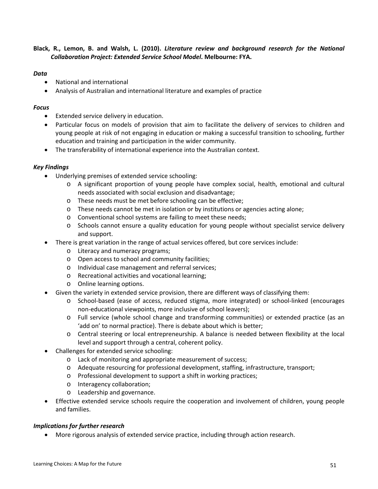#### **Black, R., Lemon, B. and Walsh, L. (2010).** *Literature review and background research for the National Collaboration Project: Extended Service School Model***. Melbourne: FYA.**

#### *Data*

- National and international
- Analysis of Australian and international literature and examples of practice

#### *Focus*

- Extended service delivery in education.
- Particular focus on models of provision that aim to facilitate the delivery of services to children and young people at risk of not engaging in education or making a successful transition to schooling, further education and training and participation in the wider community.
- The transferability of international experience into the Australian context.

#### *Key Findings*

- Underlying premises of extended service schooling:
	- o A significant proportion of young people have complex social, health, emotional and cultural needs associated with social exclusion and disadvantage;
	- o These needs must be met before schooling can be effective;
	- $\circ$  These needs cannot be met in isolation or by institutions or agencies acting alone;
	- o Conventional school systems are failing to meet these needs;
	- o Schools cannot ensure a quality education for young people without specialist service delivery and support.
	- There is great variation in the range of actual services offered, but core services include:
		- o Literacy and numeracy programs;
		- o Open access to school and community facilities;
		- o Individual case management and referral services;
		- o Recreational activities and vocational learning;
		- o Online learning options.
- Given the variety in extended service provision, there are different ways of classifying them:
	- o School-based (ease of access, reduced stigma, more integrated) or school-linked (encourages non-educational viewpoints, more inclusive of school leavers);
	- o Full service (whole school change and transforming communities) or extended practice (as an 'add on' to normal practice). There is debate about which is better;
	- o Central steering or local entrepreneurship. A balance is needed between flexibility at the local level and support through a central, coherent policy.
- Challenges for extended service schooling:
	- o Lack of monitoring and appropriate measurement of success;
	- o Adequate resourcing for professional development, staffing, infrastructure, transport;
	- o Professional development to support a shift in working practices;
	- o Interagency collaboration;
	- o Leadership and governance.
- Effective extended service schools require the cooperation and involvement of children, young people and families.

#### *Implications for further research*

• More rigorous analysis of extended service practice, including through action research.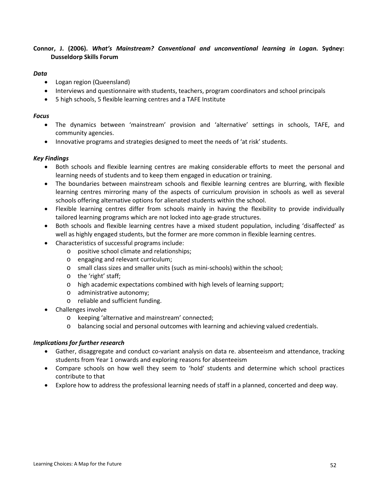#### **Connor, J. (2006).** *What's Mainstream? Conventional and unconventional learning in Logan***. Sydney: Dusseldorp Skills Forum**

#### *Data*

- Logan region (Queensland)
- Interviews and questionnaire with students, teachers, program coordinators and school principals
- 5 high schools, 5 flexible learning centres and a TAFE Institute

#### *Focus*

- The dynamics between 'mainstream' provision and 'alternative' settings in schools, TAFE, and community agencies.
- Innovative programs and strategies designed to meet the needs of 'at risk' students.

#### *Key Findings*

- Both schools and flexible learning centres are making considerable efforts to meet the personal and learning needs of students and to keep them engaged in education or training.
- The boundaries between mainstream schools and flexible learning centres are blurring, with flexible learning centres mirroring many of the aspects of curriculum provision in schools as well as several schools offering alternative options for alienated students within the school.
- Flexible learning centres differ from schools mainly in having the flexibility to provide individually tailored learning programs which are not locked into age-grade structures.
- Both schools and flexible learning centres have a mixed student population, including 'disaffected' as well as highly engaged students, but the former are more common in flexible learning centres.
- Characteristics of successful programs include:
	- o positive school climate and relationships;
	- o engaging and relevant curriculum;
	- o small class sizes and smaller units (such as mini-schools) within the school;
	- o the 'right' staff;
	- o high academic expectations combined with high levels of learning support;
	- o administrative autonomy;
	- o reliable and sufficient funding.
- Challenges involve
	- o keeping 'alternative and mainstream' connected;
	- o balancing social and personal outcomes with learning and achieving valued credentials.

- Gather, disaggregate and conduct co-variant analysis on data re. absenteeism and attendance, tracking students from Year 1 onwards and exploring reasons for absenteeism
- Compare schools on how well they seem to 'hold' students and determine which school practices contribute to that
- Explore how to address the professional learning needs of staff in a planned, concerted and deep way.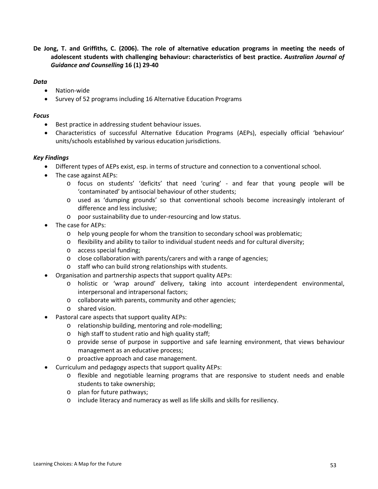**De Jong, T. and Griffiths, C. (2006). The role of alternative education programs in meeting the needs of adolescent students with challenging behaviour: characteristics of best practice.** *Australian Journal of Guidance and Counselling* **16 (1) 29-40**

#### *Data*

- Nation-wide
- Survey of 52 programs including 16 Alternative Education Programs

#### *Focus*

- Best practice in addressing student behaviour issues.
- Characteristics of successful Alternative Education Programs (AEPs), especially official 'behaviour' units/schools established by various education jurisdictions.

#### *Key Findings*

- Different types of AEPs exist, esp. in terms of structure and connection to a conventional school.
- The case against AEPs:
	- o focus on students' 'deficits' that need 'curing' and fear that young people will be 'contaminated' by antisocial behaviour of other students;
	- o used as 'dumping grounds' so that conventional schools become increasingly intolerant of difference and less inclusive;
	- o poor sustainability due to under-resourcing and low status.
- The case for AEPs:
	- o help young people for whom the transition to secondary school was problematic;
	- $\circ$  flexibility and ability to tailor to individual student needs and for cultural diversity;
	- o access special funding;
	- o close collaboration with parents/carers and with a range of agencies;
	- o staff who can build strong relationships with students.
- Organisation and partnership aspects that support quality AEPs:
	- o holistic or 'wrap around' delivery, taking into account interdependent environmental, interpersonal and intrapersonal factors;
	- o collaborate with parents, community and other agencies;
	- o shared vision.
- Pastoral care aspects that support quality AEPs:
	- o relationship building, mentoring and role-modelling;
	- o high staff to student ratio and high quality staff;
	- o provide sense of purpose in supportive and safe learning environment, that views behaviour management as an educative process;
	- o proactive approach and case management.
- Curriculum and pedagogy aspects that support quality AEPs:
	- o flexible and negotiable learning programs that are responsive to student needs and enable students to take ownership;
	- o plan for future pathways;
	- o include literacy and numeracy as well as life skills and skills for resiliency.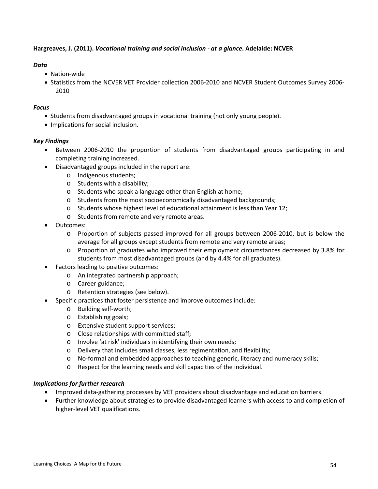#### **Hargreaves, J. (2011).** *Vocational training and social inclusion - at a glance***. Adelaide: NCVER**

#### *Data*

- Nation-wide
- Statistics from the NCVER VET Provider collection 2006-2010 and NCVER Student Outcomes Survey 2006- 2010

#### *Focus*

- Students from disadvantaged groups in vocational training (not only young people).
- Implications for social inclusion.

#### *Key Findings*

- Between 2006-2010 the proportion of students from disadvantaged groups participating in and completing training increased.
- Disadvantaged groups included in the report are:
	- o Indigenous students;
	- o Students with a disability;
	- o Students who speak a language other than English at home;
	- o Students from the most socioeconomically disadvantaged backgrounds;
	- o Students whose highest level of educational attainment is less than Year 12;
	- o Students from remote and very remote areas.
- Outcomes:
	- o Proportion of subjects passed improved for all groups between 2006-2010, but is below the average for all groups except students from remote and very remote areas;
	- o Proportion of graduates who improved their employment circumstances decreased by 3.8% for students from most disadvantaged groups (and by 4.4% for all graduates).
- Factors leading to positive outcomes:
	- o An integrated partnership approach;
	- o Career guidance;
	- o Retention strategies (see below).
- Specific practices that foster persistence and improve outcomes include:
	- o Building self-worth;
	- o Establishing goals;
	- o Extensive student support services;
	- o Close relationships with committed staff;
	- o Involve 'at risk' individuals in identifying their own needs;
	- o Delivery that includes small classes, less regimentation, and flexibility;
	- o No-formal and embedded approaches to teaching generic, literacy and numeracy skills;
	- o Respect for the learning needs and skill capacities of the individual.

- Improved data-gathering processes by VET providers about disadvantage and education barriers.
- Further knowledge about strategies to provide disadvantaged learners with access to and completion of higher-level VET qualifications.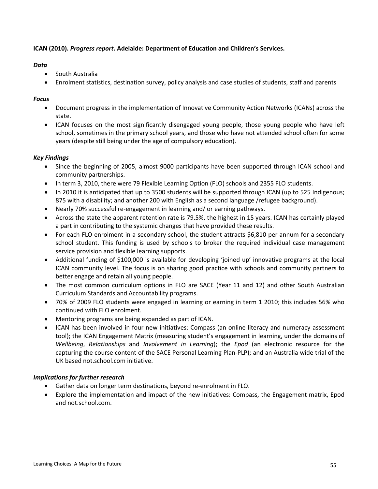#### **ICAN (2010).** *Progress report***. Adelaide: Department of Education and Children's Services.**

#### *Data*

- South Australia
- Enrolment statistics, destination survey, policy analysis and case studies of students, staff and parents

# *Focus*

- Document progress in the implementation of Innovative Community Action Networks (ICANs) across the state.
- ICAN focuses on the most significantly disengaged young people, those young people who have left school, sometimes in the primary school years, and those who have not attended school often for some years (despite still being under the age of compulsory education).

# *Key Findings*

- Since the beginning of 2005, almost 9000 participants have been supported through ICAN school and community partnerships.
- In term 3, 2010, there were 79 Flexible Learning Option (FLO) schools and 2355 FLO students.
- In 2010 it is anticipated that up to 3500 students will be supported through ICAN (up to 525 Indigenous; 875 with a disability; and another 200 with English as a second language /refugee background).
- Nearly 70% successful re-engagement in learning and/ or earning pathways.
- Across the state the apparent retention rate is 79.5%, the highest in 15 years. ICAN has certainly played a part in contributing to the systemic changes that have provided these results.
- For each FLO enrolment in a secondary school, the student attracts \$6,810 per annum for a secondary school student. This funding is used by schools to broker the required individual case management service provision and flexible learning supports.
- Additional funding of \$100,000 is available for developing 'joined up' innovative programs at the local ICAN community level. The focus is on sharing good practice with schools and community partners to better engage and retain all young people.
- The most common curriculum options in FLO are SACE (Year 11 and 12) and other South Australian Curriculum Standards and Accountability programs.
- 70% of 2009 FLO students were engaged in learning or earning in term 1 2010; this includes 56% who continued with FLO enrolment.
- Mentoring programs are being expanded as part of ICAN.
- ICAN has been involved in four new initiatives: Compass (an online literacy and numeracy assessment tool); the ICAN Engagement Matrix (measuring student's engagement in learning, under the domains of *Wellbeing*, *Relationships* and *Involvement in Learning*); the *Epod* (an electronic resource for the capturing the course content of the SACE Personal Learning Plan-PLP); and an Australia wide trial of the UK based not.school.com initiative.

- Gather data on longer term destinations, beyond re-enrolment in FLO.
- Explore the implementation and impact of the new initiatives: Compass, the Engagement matrix, Epod and not.school.com.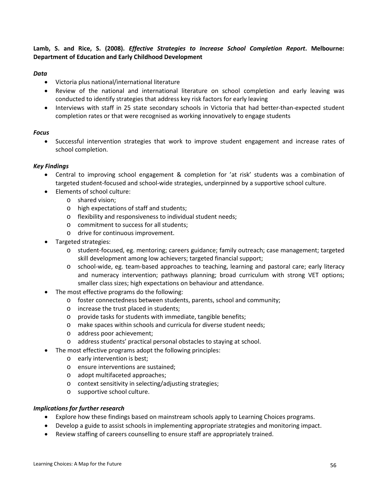#### **Lamb, S. and Rice, S. (2008).** *Effective Strategies to Increase School Completion Report***. Melbourne: Department of Education and Early Childhood Development**

#### *Data*

- Victoria plus national/international literature
- Review of the national and international literature on school completion and early leaving was conducted to identify strategies that address key risk factors for early leaving
- Interviews with staff in 25 state secondary schools in Victoria that had better-than-expected student completion rates or that were recognised as working innovatively to engage students

#### *Focus*

• Successful intervention strategies that work to improve student engagement and increase rates of school completion.

#### *Key Findings*

- Central to improving school engagement & completion for 'at risk' students was a combination of targeted student-focused and school-wide strategies, underpinned by a supportive school culture.
- Elements of school culture:
	- o shared vision;
	- o high expectations of staff and students;
	- o flexibility and responsiveness to individual student needs;
	- o commitment to success for all students;
	- o drive for continuous improvement.
- Targeted strategies:
	- o student-focused, eg. mentoring; careers guidance; family outreach; case management; targeted skill development among low achievers; targeted financial support;
	- o school-wide, eg. team-based approaches to teaching, learning and pastoral care; early literacy and numeracy intervention; pathways planning; broad curriculum with strong VET options; smaller class sizes; high expectations on behaviour and attendance.
- The most effective programs do the following:
	- o foster connectedness between students, parents, school and community;
	- o increase the trust placed in students;
	- o provide tasks for students with immediate, tangible benefits;
	- o make spaces within schools and curricula for diverse student needs;
	- o address poor achievement;
	- o address students' practical personal obstacles to staying at school.
- The most effective programs adopt the following principles:
	- o early intervention is best;
	- o ensure interventions are sustained;
	- o adopt multifaceted approaches;
	- o context sensitivity in selecting/adjusting strategies;
	- o supportive school culture.

- Explore how these findings based on mainstream schools apply to Learning Choices programs.
- Develop a guide to assist schools in implementing appropriate strategies and monitoring impact.
- Review staffing of careers counselling to ensure staff are appropriately trained.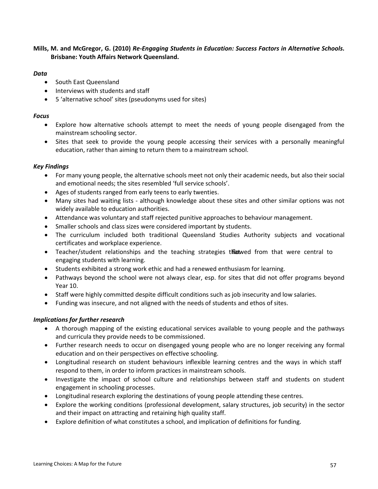#### **Mills, M. and McGregor, G. (2010)** *Re-Engaging Students in Education: Success Factors in Alternative Schools***. Brisbane: Youth Affairs Network Queensland.**

#### *Data*

- South East Queensland
- Interviews with students and staff
- 5 'alternative school' sites (pseudonyms used for sites)

#### *Focus*

- Explore how alternative schools attempt to meet the needs of young people disengaged from the mainstream schooling sector.
- Sites that seek to provide the young people accessing their services with a personally meaningful education, rather than aiming to return them to a mainstream school.

#### *Key Findings*

- For many young people, the alternative schools meet not only their academic needs, but also their social and emotional needs; the sites resembled 'full service schools'.
- Ages of students ranged from early teens to early twenties.
- Many sites had waiting lists although knowledge about these sites and other similar options was not widely available to education authorities.
- Attendance was voluntary and staff rejected punitive approaches to behaviour management.
- Smaller schools and class sizes were considered important by students.
- The curriculum included both traditional Queensland Studies Authority subjects and vocational certificates and workplace experience.
- Teacher/student relationships and the teaching strategies that that were central to engaging students with learning.
- Students exhibited a strong work ethic and had a renewed enthusiasm for learning.
- Pathways beyond the school were not always clear, esp. for sites that did not offer programs beyond Year 10.
- Staff were highly committed despite difficult conditions such as job insecurity and low salaries.
- Funding was insecure, and not aligned with the needs of students and ethos of sites.

- A thorough mapping of the existing educational services available to young people and the pathways and curricula they provide needs to be commissioned.
- Further research needs to occur on disengaged young people who are no longer receiving any formal education and on their perspectives on effective schooling.
- Longitudinal research on student behaviours inflexible learning centres and the ways in which staff respond to them, in order to inform practices in mainstream schools.
- Investigate the impact of school culture and relationships between staff and students on student engagement in schooling processes.
- Longitudinal research exploring the destinations of young people attending these centres.
- Explore the working conditions (professional development, salary structures, job security) in the sector and their impact on attracting and retaining high quality staff.
- Explore definition of what constitutes a school, and implication of definitions for funding.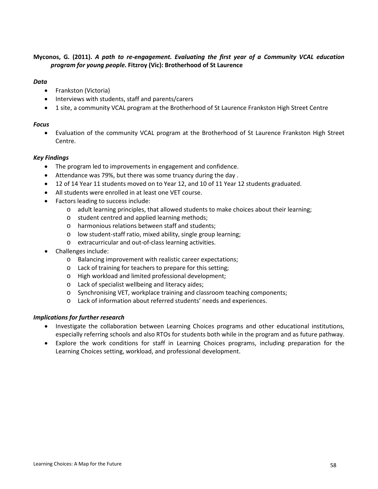#### **Myconos, G. (2011).** *A path to re-engagement. Evaluating the first year of a Community VCAL education program for young people***. Fitzroy (Vic): Brotherhood of St Laurence**

#### *Data*

- Frankston (Victoria)
- Interviews with students, staff and parents/carers
- 1 site, a community VCAL program at the Brotherhood of St Laurence Frankston High Street Centre

#### *Focus*

• Evaluation of the community VCAL program at the Brotherhood of St Laurence Frankston High Street Centre.

#### *Key Findings*

- The program led to improvements in engagement and confidence.
- Attendance was 79%, but there was some truancy during the day .
- 12 of 14 Year 11 students moved on to Year 12, and 10 of 11 Year 12 students graduated.
- All students were enrolled in at least one VET course.
- Factors leading to success include:
	- o adult learning principles, that allowed students to make choices about their learning;
	- o student centred and applied learning methods;
	- o harmonious relations between staff and students;
	- o low student-staff ratio, mixed ability, single group learning;
	- o extracurricular and out-of-class learning activities.
- Challenges include:
	- o Balancing improvement with realistic career expectations;
	- o Lack of training for teachers to prepare for this setting;
	- o High workload and limited professional development;
	- o Lack of specialist wellbeing and literacy aides;
	- o Synchronising VET, workplace training and classroom teaching components;
	- o Lack of information about referred students' needs and experiences.

- Investigate the collaboration between Learning Choices programs and other educational institutions, especially referring schools and also RTOs for students both while in the program and as future pathway.
- Explore the work conditions for staff in Learning Choices programs, including preparation for the Learning Choices setting, workload, and professional development.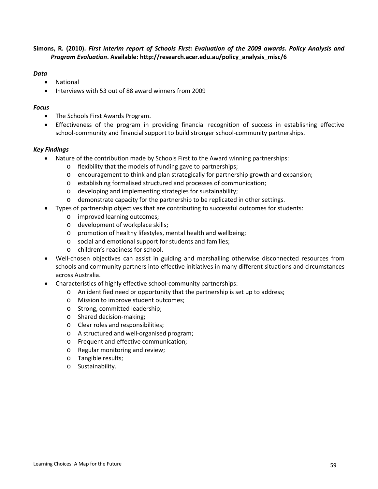#### **Simons, R. (2010).** *First interim report of Schools First: Evaluation of the 2009 awards. Policy Analysis and Program Evaluation***. Available: http://research.acer.edu.au/policy\_analysis\_misc/6**

#### *Data*

- National
- Interviews with 53 out of 88 award winners from 2009

#### *Focus*

- The Schools First Awards Program.
- Effectiveness of the program in providing financial recognition of success in establishing effective school-community and financial support to build stronger school-community partnerships.

#### *Key Findings*

- Nature of the contribution made by Schools First to the Award winning partnerships:
	- o flexibility that the models of funding gave to partnerships;
	- o encouragement to think and plan strategically for partnership growth and expansion;
	- o establishing formalised structured and processes of communication;
	- o developing and implementing strategies for sustainability;
	- o demonstrate capacity for the partnership to be replicated in other settings.
- Types of partnership objectives that are contributing to successful outcomes for students:
	- o improved learning outcomes;
	- o development of workplace skills;
	- o promotion of healthy lifestyles, mental health and wellbeing;
	- o social and emotional support for students and families;
	- o children's readiness for school.
- Well-chosen objectives can assist in guiding and marshalling otherwise disconnected resources from schools and community partners into effective initiatives in many different situations and circumstances across Australia.
- Characteristics of highly effective school-community partnerships:
	- o An identified need or opportunity that the partnership is set up to address;
	- o Mission to improve student outcomes;
	- o Strong, committed leadership;
	- o Shared decision-making;
	- o Clear roles and responsibilities;
	- o A structured and well-organised program;
	- o Frequent and effective communication;
	- o Regular monitoring and review;
	- o Tangible results;
	- o Sustainability.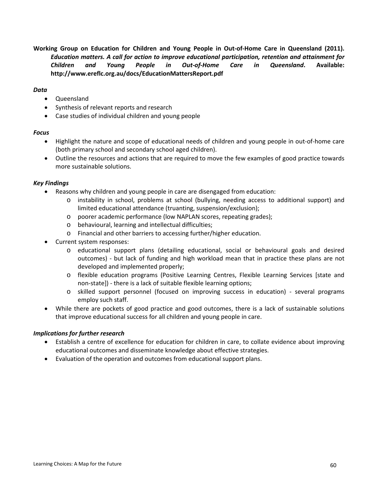**Working Group on Education for Children and Young People in Out-of-Home Care in Queensland (2011).**  *Education matters. A call for action to improve educational participation, retention and attainment for Children and Young People in Out-of-Home Care in Queensland***. Available: http://www.ereflc.org.au/docs/EducationMattersReport.pdf**

#### *Data*

- Queensland
- Synthesis of relevant reports and research
- Case studies of individual children and young people

#### *Focus*

- Highlight the nature and scope of educational needs of children and young people in out-of-home care (both primary school and secondary school aged children).
- Outline the resources and actions that are required to move the few examples of good practice towards more sustainable solutions.

#### *Key Findings*

- Reasons why children and young people in care are disengaged from education:
	- o instability in school, problems at school (bullying, needing access to additional support) and limited educational attendance (truanting, suspension/exclusion);
	- o poorer academic performance (low NAPLAN scores, repeating grades);
	- o behavioural, learning and intellectual difficulties;
	- o Financial and other barriers to accessing further/higher education.
- Current system responses:
	- o educational support plans (detailing educational, social or behavioural goals and desired outcomes) - but lack of funding and high workload mean that in practice these plans are not developed and implemented properly;
	- o flexible education programs (Positive Learning Centres, Flexible Learning Services [state and non-state]) - there is a lack of suitable flexible learning options;
	- o skilled support personnel (focused on improving success in education) several programs employ such staff.
- While there are pockets of good practice and good outcomes, there is a lack of sustainable solutions that improve educational success for all children and young people in care.

- Establish a centre of excellence for education for children in care, to collate evidence about improving educational outcomes and disseminate knowledge about effective strategies.
- Evaluation of the operation and outcomes from educational support plans.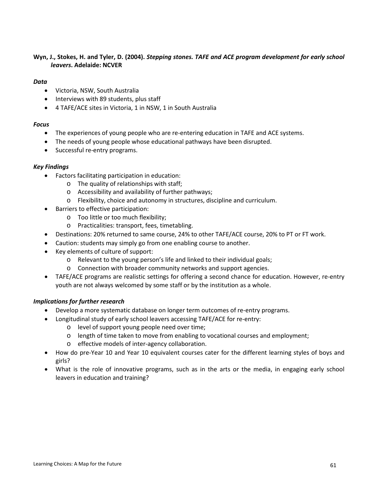#### **Wyn, J., Stokes, H. and Tyler, D. (2004).** *Stepping stones. TAFE and ACE program development for early school leavers***. Adelaide: NCVER**

#### *Data*

- Victoria, NSW, South Australia
- Interviews with 89 students, plus staff
- 4 TAFE/ACE sites in Victoria, 1 in NSW, 1 in South Australia

#### *Focus*

- The experiences of young people who are re-entering education in TAFE and ACE systems.
- The needs of young people whose educational pathways have been disrupted.
- Successful re-entry programs.

#### *Key Findings*

- Factors facilitating participation in education:
	- o The quality of relationships with staff;
	- o Accessibility and availability of further pathways;
	- o Flexibility, choice and autonomy in structures, discipline and curriculum.
- Barriers to effective participation:
	- o Too little or too much flexibility;
	- o Practicalities: transport, fees, timetabling.
- Destinations: 20% returned to same course, 24% to other TAFE/ACE course, 20% to PT or FT work.
- Caution: students may simply go from one enabling course to another.
- Key elements of culture of support:
	- o Relevant to the young person's life and linked to their individual goals;
	- o Connection with broader community networks and support agencies.
- TAFE/ACE programs are realistic settings for offering a second chance for education. However, re-entry youth are not always welcomed by some staff or by the institution as a whole.

- Develop a more systematic database on longer term outcomes of re-entry programs.
- Longitudinal study of early school leavers accessing TAFE/ACE for re-entry:
	- o level of support young people need over time;
	- o length of time taken to move from enabling to vocational courses and employment;
	- o effective models of inter-agency collaboration.
- How do pre-Year 10 and Year 10 equivalent courses cater for the different learning styles of boys and girls?
- What is the role of innovative programs, such as in the arts or the media, in engaging early school leavers in education and training?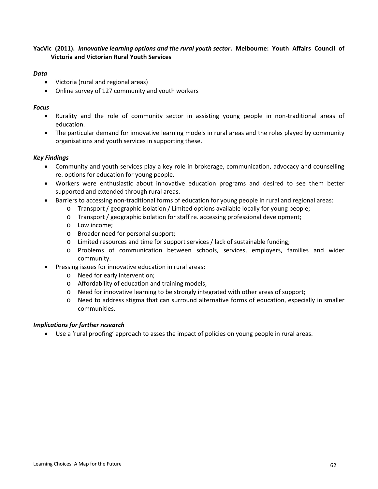#### **YacVic (2011).** *Innovative learning options and the rural youth sector***. Melbourne: Youth Affairs Council of Victoria and Victorian Rural Youth Services**

#### *Data*

- Victoria (rural and regional areas)
- Online survey of 127 community and youth workers

#### *Focus*

- Rurality and the role of community sector in assisting young people in non-traditional areas of education.
- The particular demand for innovative learning models in rural areas and the roles played by community organisations and youth services in supporting these.

#### *Key Findings*

- Community and youth services play a key role in brokerage, communication, advocacy and counselling re. options for education for young people.
- Workers were enthusiastic about innovative education programs and desired to see them better supported and extended through rural areas.
- Barriers to accessing non-traditional forms of education for young people in rural and regional areas:
	- o Transport / geographic isolation / Limited options available locally for young people;
	- o Transport / geographic isolation for staff re. accessing professional development;
	- o Low income;
	- o Broader need for personal support;
	- o Limited resources and time for support services / lack of sustainable funding;
	- o Problems of communication between schools, services, employers, families and wider community.
- Pressing issues for innovative education in rural areas:
	- o Need for early intervention;
	- o Affordability of education and training models;
	- o Need for innovative learning to be strongly integrated with other areas of support;
	- o Need to address stigma that can surround alternative forms of education, especially in smaller communities.

#### *Implications for further research*

• Use a 'rural proofing' approach to asses the impact of policies on young people in rural areas.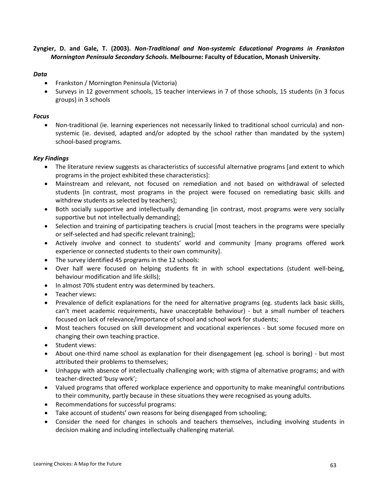#### **Zyngier, D. and Gale, T. (2003).** *Non-Traditional and Non-systemic Educational Programs in Frankston Mornington Peninsula Secondary Schools***. Melbourne: Faculty of Education, Monash University.**

#### *Data*

- Frankston / Mornington Peninsula (Victoria)
- Surveys in 12 government schools, 15 teacher interviews in 7 of those schools, 15 students (in 3 focus groups) in 3 schools

#### *Focus*

• Non-traditional (ie. learning experiences not necessarily linked to traditional school curricula) and nonsystemic (ie. devised, adapted and/or adopted by the school rather than mandated by the system) school-based programs.

#### *Key Findings*

- The literature review suggests as characteristics of successful alternative programs [and extent to which programs in the project exhibited these characteristics]:
- Mainstream and relevant, not focused on remediation and not based on withdrawal of selected students [in contrast, most programs in the project were focused on remediating basic skills and withdrew students as selected by teachers];
- Both socially supportive and intellectually demanding [in contrast, most programs were very socially supportive but not intellectually demanding];
- Selection and training of participating teachers is crucial [most teachers in the programs were specially or self-selected and had specific relevant training];
- Actively involve and connect to students' world and community [many programs offered work experience or connected students to their own community].
- The survey identified 45 programs in the 12 schools:
- Over half were focused on helping students fit in with school expectations (student well-being, behaviour modification and life skills);
- In almost 70% student entry was determined by teachers.
- Teacher views:
- Prevalence of deficit explanations for the need for alternative programs (eg. students lack basic skills, can't meet academic requirements, have unacceptable behaviour) - but a small number of teachers focused on lack of relevance/importance of school and school work for students;
- Most teachers focused on skill development and vocational experiences but some focused more on changing their own teaching practice.
- Student views:
- About one-third name school as explanation for their disengagement (eg. school is boring) but most attributed their problems to themselves;
- Unhappy with absence of intellectually challenging work; with stigma of alternative programs; and with teacher-directed 'busy work';
- Valued programs that offered workplace experience and opportunity to make meaningful contributions to their community, partly because in these situations they were recognised as young adults.
- Recommendations for successful programs:
- Take account of students' own reasons for being disengaged from schooling;
- Consider the need for changes in schools and teachers themselves, including involving students in decision making and including intellectually challenging material.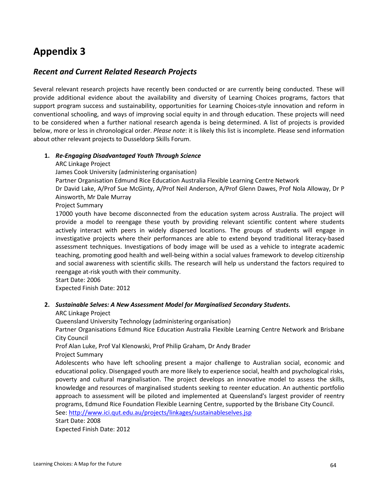# **Appendix 3**

# *Recent and Current Related Research Projects*

Several relevant research projects have recently been conducted or are currently being conducted. These will provide additional evidence about the availability and diversity of Learning Choices programs, factors that support program success and sustainability, opportunities for Learning Choices-style innovation and reform in conventional schooling, and ways of improving social equity in and through education. These projects will need to be considered when a further national research agenda is being determined. A list of projects is provided below, more or less in chronological order. *Please note*: it is likely this list is incomplete. Please send information about other relevant projects to Dusseldorp Skills Forum.

#### **1.** *Re-Engaging Disadvantaged Youth Through Science*

ARC Linkage Project

James Cook University (administering organisation)

Partner Organisation Edmund Rice Education Australia Flexible Learning Centre Network

Dr David Lake, A/Prof Sue McGinty, A/Prof Neil Anderson, A/Prof Glenn Dawes, Prof Nola Alloway, Dr P Ainsworth, Mr Dale Murray

Project Summary

17000 youth have become disconnected from the education system across Australia. The project will provide a model to reengage these youth by providing relevant scientific content where students actively interact with peers in widely dispersed locations. The groups of students will engage in investigative projects where their performances are able to extend beyond traditional literacy-based assessment techniques. Investigations of body image will be used as a vehicle to integrate academic teaching, promoting good health and well-being within a social values framework to develop citizenship and social awareness with scientific skills. The research will help us understand the factors required to reengage at-risk youth with their community.

Start Date: 2006 Expected Finish Date: 2012

#### **2.** *Sustainable Selves: A New Assessment Model for Marginalised Secondary Students***.**

ARC Linkage Project

Queensland University Technology (administering organisation)

Partner Organisations Edmund Rice Education Australia Flexible Learning Centre Network and Brisbane City Council

Prof Alan Luke, Prof Val Klenowski, Prof Philip Graham, Dr Andy Brader Project Summary

Adolescents who have left schooling present a major challenge to Australian social, economic and educational policy. Disengaged youth are more likely to experience social, health and psychological risks, poverty and cultural marginalisation. The project develops an innovative model to assess the skills, knowledge and resources of marginalised students seeking to reenter education. An authentic portfolio approach to assessment will be piloted and implemented at Queensland's largest provider of reentry programs, Edmund Rice Foundation Flexible Learning Centre, supported by the Brisbane City Council.

See[: http://www.ici.qut.edu.au/projects/linkages/sustainableselves.jsp](http://www.ici.qut.edu.au/projects/linkages/sustainableselves.jsp)

Start Date: 2008 Expected Finish Date: 2012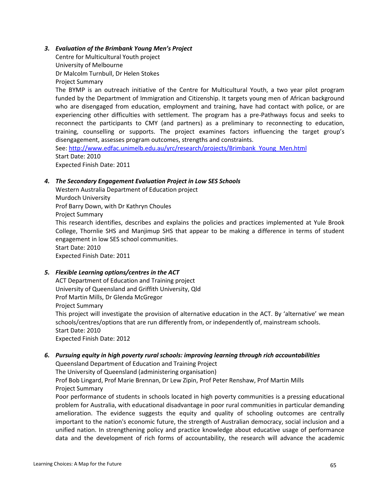#### *3. Evaluation of the Brimbank Young Men's Project*

Centre for Multicultural Youth project University of Melbourne Dr Malcolm Turnbull, Dr Helen Stokes Project Summary The BYMP is an outreach initiative of the Centre for Multicultural Youth, a two year pilot program funded by the Department of Immigration and Citizenship. It targets young men of African background who are disengaged from education, employment and training, have had contact with police, or are experiencing other difficulties with settlement. The program has a pre-Pathways focus and seeks to reconnect the participants to CMY (and partners) as a preliminary to reconnecting to education, training, counselling or supports. The project examines factors influencing the target group's disengagement, assesses program outcomes, strengths and constraints. See[: http://www.edfac.unimelb.edu.au/yrc/research/projects/Brimbank\\_Young\\_Men.html](http://www.edfac.unimelb.edu.au/yrc/research/projects/Brimbank_Young_Men.html) Start Date: 2010

Expected Finish Date: 2011

#### *4. The Secondary Engagement Evaluation Project in Low SES Schools*

Western Australia Department of Education project Murdoch University Prof Barry Down, with Dr Kathryn Choules Project Summary

This research identifies, describes and explains the policies and practices implemented at Yule Brook College, Thornlie SHS and Manjimup SHS that appear to be making a difference in terms of student engagement in low SES school communities.

Start Date: 2010

Expected Finish Date: 2011

# *5. Flexible Learning options/centres in the ACT*

ACT Department of Education and Training project University of Queensland and Griffith University, Qld Prof Martin Mills, Dr Glenda McGregor Project Summary This project will investigate the provision of alternative education in the ACT. By 'alternative' we mean schools/centres/options that are run differently from, or independently of, mainstream schools. Start Date: 2010 Expected Finish Date: 2012

# *6. Pursuing equity in high poverty rural schools: improving learning through rich accountabilities*

Queensland Department of Education and Training Project The University of Queensland (administering organisation) Prof Bob Lingard, Prof Marie Brennan, Dr Lew Zipin, Prof Peter Renshaw, Prof Martin Mills Project Summary

Poor performance of students in schools located in high poverty communities is a pressing educational problem for Australia, with educational disadvantage in poor rural communities in particular demanding amelioration. The evidence suggests the equity and quality of schooling outcomes are centrally important to the nation's economic future, the strength of Australian democracy, social inclusion and a unified nation. In strengthening policy and practice knowledge about educative usage of performance data and the development of rich forms of accountability, the research will advance the academic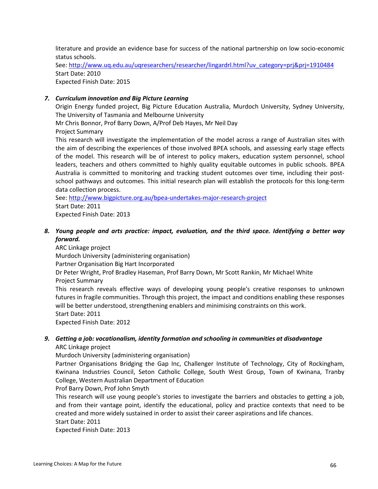literature and provide an evidence base for success of the national partnership on low socio-economic status schools.

See[: http://www.uq.edu.au/uqresearchers/researcher/lingardrl.html?uv\\_category=prj&prj=1910484](http://www.uq.edu.au/uqresearchers/researcher/lingardrl.html?uv_category=prj&prj=1910484) Start Date: 2010 Expected Finish Date: 2015

#### *7. Curriculum innovation and Big Picture Learning*

Origin Energy funded project, Big Picture Education Australia, Murdoch University, Sydney University, The University of Tasmania and Melbourne University

Mr Chris Bonnor, Prof Barry Down, A/Prof Deb Hayes, Mr Neil Day Project Summary

This research will investigate the implementation of the model across a range of Australian sites with the aim of describing the experiences of those involved BPEA schools, and assessing early stage effects of the model. This research will be of interest to policy makers, education system personnel, school leaders, teachers and others committed to highly quality equitable outcomes in public schools. BPEA Australia is committed to monitoring and tracking student outcomes over time, including their postschool pathways and outcomes. This initial research plan will establish the protocols for this long-term data collection process.

See[: http://www.bigpicture.org.au/bpea-undertakes-major-research-project](http://www.bigpicture.org.au/bpea-undertakes-major-research-project) Start Date: 2011 Expected Finish Date: 2013

*8. Young people and arts practice: impact, evaluation, and the third space. Identifying a better way forward.*

ARC Linkage project Murdoch University (administering organisation) Partner Organisation Big Hart Incorporated Dr Peter Wright, Prof Bradley Haseman, Prof Barry Down, Mr Scott Rankin, Mr Michael White Project Summary This research reveals effective ways of developing young people's creative responses to unknown

futures in fragile communities. Through this project, the impact and conditions enabling these responses will be better understood, strengthening enablers and minimising constraints on this work. Start Date: 2011

Expected Finish Date: 2012

#### *9. Getting a job: vocationalism, identity formation and schooling in communities at disadvantage* ARC Linkage project

Murdoch University (administering organisation)

Partner Organisations Bridging the Gap Inc, Challenger Institute of Technology, City of Rockingham, Kwinana Industries Council, Seton Catholic College, South West Group, Town of Kwinana, Tranby College, Western Australian Department of Education

Prof Barry Down, Prof John Smyth

This research will use young people's stories to investigate the barriers and obstacles to getting a job, and from their vantage point, identify the educational, policy and practice contexts that need to be created and more widely sustained in order to assist their career aspirations and life chances.

Start Date: 2011

Expected Finish Date: 2013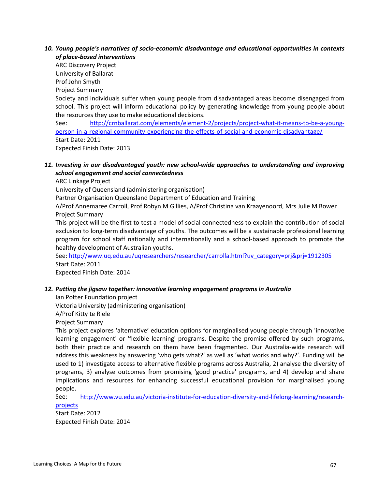#### *10. Young people's narratives of socio-economic disadvantage and educational opportunities in contexts of place-based interventions*

ARC Discovery Project University of Ballarat Prof John Smyth Project Summary Society and individuals suffer when young people from disadvantaged areas become disengaged from school. This project will inform educational policy by generating knowledge from young people about the resources they use to make educational decisions. See: [http://crnballarat.com/elements/element-2/projects/project-what-it-means-to-be-a-young](http://crnballarat.com/elements/element-2/projects/project-what-it-means-to-be-a-young-person-in-a-regional-community-experiencing-the-effects-of-social-and-economic-disadvantage/)[person-in-a-regional-community-experiencing-the-effects-of-social-and-economic-disadvantage/](http://crnballarat.com/elements/element-2/projects/project-what-it-means-to-be-a-young-person-in-a-regional-community-experiencing-the-effects-of-social-and-economic-disadvantage/) Start Date: 2011

Expected Finish Date: 2013

# *11. Investing in our disadvantaged youth: new school-wide approaches to understanding and improving school engagement and social connectedness*

ARC Linkage Project

University of Queensland (administering organisation)

Partner Organisation Queensland Department of Education and Training

A/Prof Annemaree Carroll, Prof Robyn M Gillies, A/Prof Christina van Kraayenoord, Mrs Julie M Bower Project Summary

This project will be the first to test a model of social connectedness to explain the contribution of social exclusion to long-term disadvantage of youths. The outcomes will be a sustainable professional learning program for school staff nationally and internationally and a school-based approach to promote the healthy development of Australian youths.

See[: http://www.uq.edu.au/uqresearchers/researcher/carrolla.html?uv\\_category=prj&prj=1912305](http://www.uq.edu.au/uqresearchers/researcher/carrolla.html?uv_category=prj&prj=1912305) Start Date: 2011

Expected Finish Date: 2014

#### *12. Putting the jigsaw together: innovative learning engagement programs in Australia*

Ian Potter Foundation project

Victoria University (administering organisation)

A/Prof Kitty te Riele

Project Summary

This project explores 'alternative' education options for marginalised young people through 'innovative learning engagement' or 'flexible learning' programs. Despite the promise offered by such programs, both their practice and research on them have been fragmented. Our Australia-wide research will address this weakness by answering 'who gets what?' as well as 'what works and why?'. Funding will be used to 1) investigate access to alternative flexible programs across Australia, 2) analyse the diversity of programs, 3) analyse outcomes from promising 'good practice' programs, and 4) develop and share implications and resources for enhancing successful educational provision for marginalised young people.

See: [http://www.vu.edu.au/victoria-institute-for-education-diversity-and-lifelong-learning/research](http://www.vu.edu.au/victoria-institute-for-education-diversity-and-lifelong-learning/research-projects)[projects](http://www.vu.edu.au/victoria-institute-for-education-diversity-and-lifelong-learning/research-projects)

Start Date: 2012 Expected Finish Date: 2014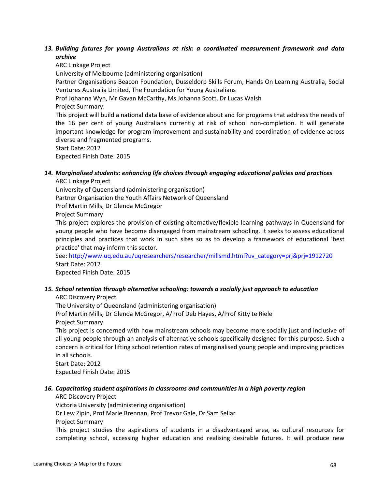#### *13. Building futures for young Australians at risk: a coordinated measurement framework and data archive*

ARC Linkage Project University of Melbourne (administering organisation) Partner Organisations Beacon Foundation, Dusseldorp Skills Forum, Hands On Learning Australia, Social Ventures Australia Limited, The Foundation for Young Australians Prof Johanna Wyn, Mr Gavan McCarthy, Ms Johanna Scott, Dr Lucas Walsh Project Summary: This project will build a national data base of evidence about and for programs that address the needs of the 16 per cent of young Australians currently at risk of school non-completion. It will generate important knowledge for program improvement and sustainability and coordination of evidence across diverse and fragmented programs. Start Date: 2012 Expected Finish Date: 2015

# *14. Marginalised students: enhancing life choices through engaging educational policies and practices*

ARC Linkage Project

University of Queensland (administering organisation)

Partner Organisation the Youth Affairs Network of Queensland

Prof Martin Mills, Dr Glenda McGregor

Project Summary

This project explores the provision of existing alternative/flexible learning pathways in Queensland for young people who have become disengaged from mainstream schooling. It seeks to assess educational principles and practices that work in such sites so as to develop a framework of educational 'best practice' that may inform this sector.

See[: http://www.uq.edu.au/uqresearchers/researcher/millsmd.html?uv\\_category=prj&prj=1912720](http://www.uq.edu.au/uqresearchers/researcher/millsmd.html?uv_category=prj&prj=1912720) Start Date: 2012

Expected Finish Date: 2015

# *15. School retention through alternative schooling: towards a socially just approach to education*

ARC Discovery Project

The University of Queensland (administering organisation)

Prof Martin Mills, Dr Glenda McGregor, A/Prof Deb Hayes, A/Prof Kitty te Riele Project Summary

This project is concerned with how mainstream schools may become more socially just and inclusive of all young people through an analysis of alternative schools specifically designed for this purpose. Such a concern is critical for lifting school retention rates of marginalised young people and improving practices in all schools.

Start Date: 2012 Expected Finish Date: 2015

# *16. Capacitating student aspirations in classrooms and communities in a high poverty region*

ARC Discovery Project

Victoria University (administering organisation)

Dr Lew Zipin, Prof Marie Brennan, Prof Trevor Gale, Dr Sam Sellar

Project Summary

This project studies the aspirations of students in a disadvantaged area, as cultural resources for completing school, accessing higher education and realising desirable futures. It will produce new